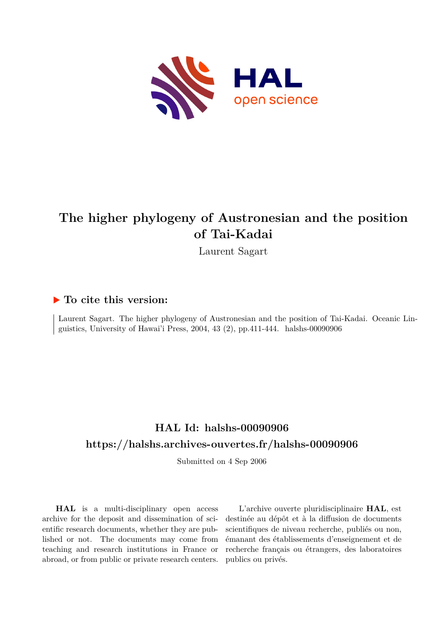

# **The higher phylogeny of Austronesian and the position of Tai-Kadai**

Laurent Sagart

#### **To cite this version:**

Laurent Sagart. The higher phylogeny of Austronesian and the position of Tai-Kadai. Oceanic Linguistics, University of Hawai'i Press, 2004, 43 (2), pp.411-444. halshs-00090906

# **HAL Id: halshs-00090906 <https://halshs.archives-ouvertes.fr/halshs-00090906>**

Submitted on 4 Sep 2006

**HAL** is a multi-disciplinary open access archive for the deposit and dissemination of scientific research documents, whether they are published or not. The documents may come from teaching and research institutions in France or abroad, or from public or private research centers.

L'archive ouverte pluridisciplinaire **HAL**, est destinée au dépôt et à la diffusion de documents scientifiques de niveau recherche, publiés ou non, émanant des établissements d'enseignement et de recherche français ou étrangers, des laboratoires publics ou privés.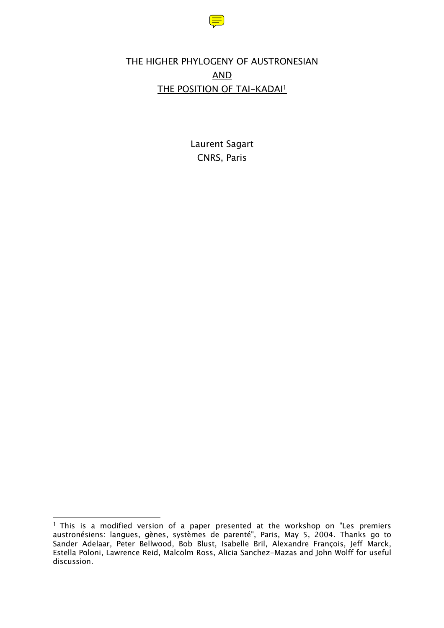

# THE HIGHER PHYLOGENY OF AUSTRONESIAN AND THE POSITION OF TAI-KADAI1

Laurent Sagart CNRS, Paris

 $\overline{a}$ <sup>1</sup> This is a modified version of a paper presented at the workshop on "Les premiers austronésiens: langues, gènes, systèmes de parenté", Paris, May 5, 2004. Thanks go to Sander Adelaar, Peter Bellwood, Bob Blust, Isabelle Bril, Alexandre François, Jeff Marck, Estella Poloni, Lawrence Reid, Malcolm Ross, Alicia Sanchez-Mazas and John Wolff for useful discussion.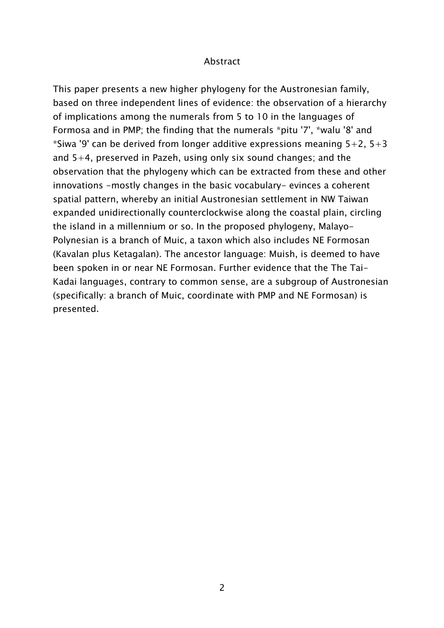#### Abstract

This paper presents a new higher phylogeny for the Austronesian family, based on three independent lines of evidence: the observation of a hierarchy of implications among the numerals from 5 to 10 in the languages of Formosa and in PMP; the finding that the numerals \*pitu '7', \*walu '8' and \*Siwa '9' can be derived from longer additive expressions meaning  $5+2$ ,  $5+3$ and 5+4, preserved in Pazeh, using only six sound changes; and the observation that the phylogeny which can be extracted from these and other innovations -mostly changes in the basic vocabulary- evinces a coherent spatial pattern, whereby an initial Austronesian settlement in NW Taiwan expanded unidirectionally counterclockwise along the coastal plain, circling the island in a millennium or so. In the proposed phylogeny, Malayo-Polynesian is a branch of Muic, a taxon which also includes NE Formosan (Kavalan plus Ketagalan). The ancestor language: Muish, is deemed to have been spoken in or near NE Formosan. Further evidence that the The Tai-Kadai languages, contrary to common sense, are a subgroup of Austronesian (specifically: a branch of Muic, coordinate with PMP and NE Formosan) is presented.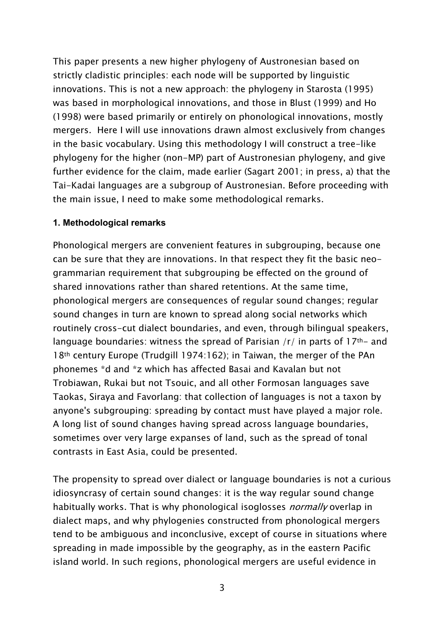This paper presents a new higher phylogeny of Austronesian based on strictly cladistic principles: each node will be supported by linguistic innovations. This is not a new approach: the phylogeny in Starosta (1995) was based in morphological innovations, and those in Blust (1999) and Ho (1998) were based primarily or entirely on phonological innovations, mostly mergers. Here I will use innovations drawn almost exclusively from changes in the basic vocabulary. Using this methodology I will construct a tree-like phylogeny for the higher (non-MP) part of Austronesian phylogeny, and give further evidence for the claim, made earlier (Sagart 2001; in press, a) that the Tai-Kadai languages are a subgroup of Austronesian. Before proceeding with the main issue, I need to make some methodological remarks.

#### **1. Methodological remarks**

Phonological mergers are convenient features in subgrouping, because one can be sure that they are innovations. In that respect they fit the basic neogrammarian requirement that subgrouping be effected on the ground of shared innovations rather than shared retentions. At the same time, phonological mergers are consequences of regular sound changes; regular sound changes in turn are known to spread along social networks which routinely cross-cut dialect boundaries, and even, through bilingual speakers, language boundaries: witness the spread of Parisian  $/r/$  in parts of 17<sup>th-</sup> and 18th century Europe (Trudgill 1974:162); in Taiwan, the merger of the PAn phonemes \*d and \*z which has affected Basai and Kavalan but not Trobiawan, Rukai but not Tsouic, and all other Formosan languages save Taokas, Siraya and Favorlang: that collection of languages is not a taxon by anyone's subgrouping: spreading by contact must have played a major role. A long list of sound changes having spread across language boundaries, sometimes over very large expanses of land, such as the spread of tonal contrasts in East Asia, could be presented.

The propensity to spread over dialect or language boundaries is not a curious idiosyncrasy of certain sound changes: it is the way regular sound change habitually works. That is why phonological isoglosses *normally* overlap in dialect maps, and why phylogenies constructed from phonological mergers tend to be ambiguous and inconclusive, except of course in situations where spreading in made impossible by the geography, as in the eastern Pacific island world. In such regions, phonological mergers are useful evidence in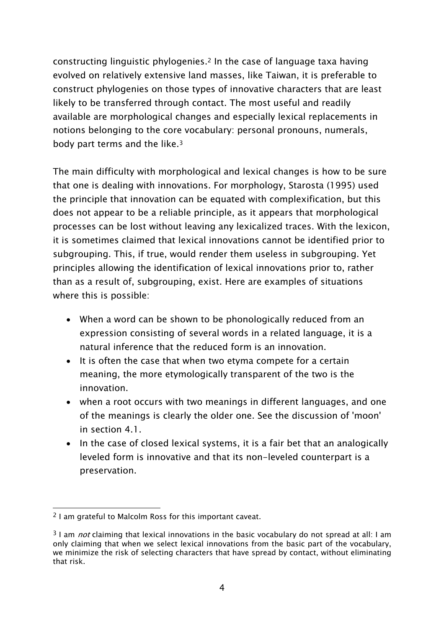constructing linguistic phylogenies.2 In the case of language taxa having evolved on relatively extensive land masses, like Taiwan, it is preferable to construct phylogenies on those types of innovative characters that are least likely to be transferred through contact. The most useful and readily available are morphological changes and especially lexical replacements in notions belonging to the core vocabulary: personal pronouns, numerals, body part terms and the like.3

The main difficulty with morphological and lexical changes is how to be sure that one is dealing with innovations. For morphology, Starosta (1995) used the principle that innovation can be equated with complexification, but this does not appear to be a reliable principle, as it appears that morphological processes can be lost without leaving any lexicalized traces. With the lexicon, it is sometimes claimed that lexical innovations cannot be identified prior to subgrouping. This, if true, would render them useless in subgrouping. Yet principles allowing the identification of lexical innovations prior to, rather than as a result of, subgrouping, exist. Here are examples of situations where this is possible:

- When a word can be shown to be phonologically reduced from an expression consisting of several words in a related language, it is a natural inference that the reduced form is an innovation.
- It is often the case that when two etyma compete for a certain meaning, the more etymologically transparent of the two is the innovation.
- when a root occurs with two meanings in different languages, and one of the meanings is clearly the older one. See the discussion of 'moon' in section 4.1.
- In the case of closed lexical systems, it is a fair bet that an analogically leveled form is innovative and that its non-leveled counterpart is a preservation.

 $\overline{a}$ 2 I am grateful to Malcolm Ross for this important caveat.

 $3$  I am *not* claiming that lexical innovations in the basic vocabulary do not spread at all: I am only claiming that when we select lexical innovations from the basic part of the vocabulary, we minimize the risk of selecting characters that have spread by contact, without eliminating that risk.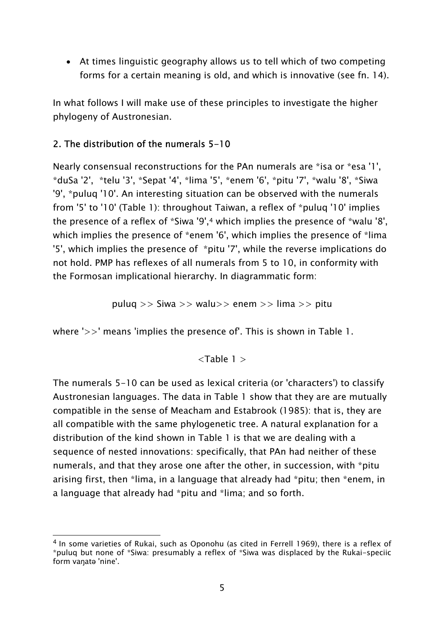• At times linguistic geography allows us to tell which of two competing forms for a certain meaning is old, and which is innovative (see fn. 14).

In what follows I will make use of these principles to investigate the higher phylogeny of Austronesian.

# 2. The distribution of the numerals 5-10

Nearly consensual reconstructions for the PAn numerals are \*isa or \*esa '1', \*duSa '2', \*telu '3', \*Sepat '4', \*lima '5', \*enem '6', \*pitu '7', \*walu '8', \*Siwa '9', \*puluq '10'. An interesting situation can be observed with the numerals from '5' to '10' (Table 1): throughout Taiwan, a reflex of \*puluq '10' implies the presence of a reflex of \*Siwa '9',4 which implies the presence of \*walu '8', which implies the presence of \*enem '6', which implies the presence of \*lima '5', which implies the presence of \*pitu '7', while the reverse implications do not hold. PMP has reflexes of all numerals from 5 to 10, in conformity with the Formosan implicational hierarchy. In diagrammatic form:

$$
puluq >> Siwa >> walu >> enem >> lima >> pitu
$$

where '>>' means 'implies the presence of'. This is shown in Table 1.

 $<$ Table 1  $>$ 

The numerals 5-10 can be used as lexical criteria (or 'characters') to classify Austronesian languages. The data in Table 1 show that they are are mutually compatible in the sense of Meacham and Estabrook (1985): that is, they are all compatible with the same phylogenetic tree. A natural explanation for a distribution of the kind shown in Table 1 is that we are dealing with a sequence of nested innovations: specifically, that PAn had neither of these numerals, and that they arose one after the other, in succession, with \*pitu arising first, then \*lima, in a language that already had \*pitu; then \*enem, in a language that already had \*pitu and \*lima; and so forth.

 $\overline{a}$ 4 In some varieties of Rukai, such as Oponohu (as cited in Ferrell 1969), there is a reflex of \*puluq but none of \*Siwa: presumably a reflex of \*Siwa was displaced by the Rukai-speciic form vaŋatə 'nine'.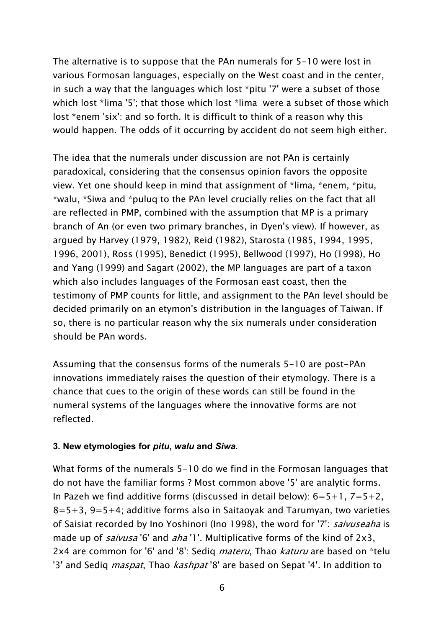The alternative is to suppose that the PAn numerals for 5-10 were lost in various Formosan languages, especially on the West coast and in the center, in such a way that the languages which lost \*pitu '7' were a subset of those which lost \*lima '5'; that those which lost \*lima were a subset of those which lost \*enem 'six': and so forth. It is difficult to think of a reason why this would happen. The odds of it occurring by accident do not seem high either.

The idea that the numerals under discussion are not PAn is certainly paradoxical, considering that the consensus opinion favors the opposite view. Yet one should keep in mind that assignment of \*lima, \*enem, \*pitu, \*walu, \*Siwa and \*puluq to the PAn level crucially relies on the fact that all are reflected in PMP, combined with the assumption that MP is a primary branch of An (or even two primary branches, in Dyen's view). If however, as argued by Harvey (1979, 1982), Reid (1982), Starosta (1985, 1994, 1995, 1996, 2001), Ross (1995), Benedict (1995), Bellwood (1997), Ho (1998), Ho and Yang (1999) and Sagart (2002), the MP languages are part of a taxon which also includes languages of the Formosan east coast, then the testimony of PMP counts for little, and assignment to the PAn level should be decided primarily on an etymon's distribution in the languages of Taiwan. If so, there is no particular reason why the six numerals under consideration should be PAn words.

Assuming that the consensus forms of the numerals 5-10 are post-PAn innovations immediately raises the question of their etymology. There is a chance that cues to the origin of these words can still be found in the numeral systems of the languages where the innovative forms are not reflected.

#### **3. New etymologies for** *pitu***,** *walu* **and** *Siwa.*

What forms of the numerals 5-10 do we find in the Formosan languages that do not have the familiar forms ? Most common above '5' are analytic forms. In Pazeh we find additive forms (discussed in detail below):  $6=5+1$ ,  $7=5+2$ ,  $8=5+3$ ,  $9=5+4$ ; additive forms also in Saitaoyak and Tarumyan, two varieties of Saisiat recorded by Ino Yoshinori (Ino 1998), the word for '7': saivuseaha is made up of *saivusa* '6' and *aha* '1'. Multiplicative forms of the kind of 2x3, 2x4 are common for '6' and '8': Sediq *materu*, Thao *katuru* are based on \*telu '3' and Sediq *maspat*, Thao *kashpat* '8' are based on Sepat '4'. In addition to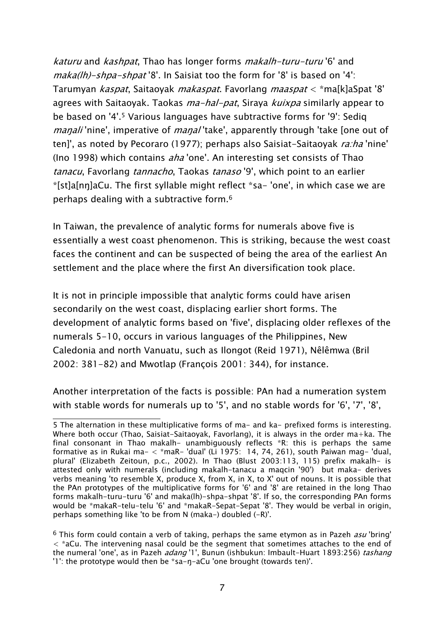katuru and kashpat, Thao has longer forms makalh-turu-turu '6' and maka(Ih)-shpa-shpat '8'. In Saisiat too the form for '8' is based on '4': Tarumyan kaspat, Saitaoyak makaspat. Favorlang maaspat < \*ma[k]aSpat '8' agrees with Saitaoyak. Taokas *ma-hal-pat*, Siraya *kuixpa* similarly appear to be based on '4'.5 Various languages have subtractive forms for '9': Sediq *maŋali* 'nine', imperative of *maŋal* 'take', apparently through 'take [one out of ten]', as noted by Pecoraro (1977); perhaps also Saisiat-Saitaoyak *ra:ha* 'nine' (Ino 1998) which contains *aha* 'one'. An interesting set consists of Thao tanacu, Favorlang tannacho, Taokas tanaso '9', which point to an earlier \*[st]a[nŋ]aCu. The first syllable might reflect \*sa- 'one', in which case we are perhaps dealing with a subtractive form.6

In Taiwan, the prevalence of analytic forms for numerals above five is essentially a west coast phenomenon. This is striking, because the west coast faces the continent and can be suspected of being the area of the earliest An settlement and the place where the first An diversification took place.

It is not in principle impossible that analytic forms could have arisen secondarily on the west coast, displacing earlier short forms. The development of analytic forms based on 'five', displacing older reflexes of the numerals 5-10, occurs in various languages of the Philippines, New Caledonia and north Vanuatu, such as Ilongot (Reid 1971), Nêlêmwa (Bril 2002: 381-82) and Mwotlap (François 2001: 344), for instance.

Another interpretation of the facts is possible: PAn had a numeration system with stable words for numerals up to '5', and no stable words for '6', '7', '8',

 $\overline{a}$ 5 The alternation in these multiplicative forms of ma- and ka- prefixed forms is interesting. Where both occur (Thao, Saisiat-Saitaoyak, Favorlang), it is always in the order ma+ka. The final consonant in Thao makalh- unambiguously reflects \*R: this is perhaps the same formative as in Rukai ma- < \*maR- 'dual' (Li 1975: 14, 74, 261), south Paiwan mag- 'dual, plural' (Elizabeth Zeitoun, p.c., 2002). In Thao (Blust 2003:113, 115) prefix makalh- is attested only with numerals (including makalh-tanacu a maqcin '90') but maka- derives verbs meaning 'to resemble X, produce X, from X, in X, to X' out of nouns. It is possible that the PAn prototypes of the multiplicative forms for '6' and '8' are retained in the long Thao forms makalh-turu-turu '6' and maka(lh)-shpa-shpat '8'. If so, the corresponding PAn forms would be \*makaR-telu-telu '6' and \*makaR-Sepat-Sepat '8'. They would be verbal in origin, perhaps something like 'to be from N (maka-) doubled (-R)'.

 $6$  This form could contain a verb of taking, perhaps the same etymon as in Pazeh *asu* 'bring'  $\langle$  \*aCu. The intervening nasal could be the segment that sometimes attaches to the end of the numeral 'one', as in Pazeh *adang* '1', Bunun (ishbukun: Imbault-Huart 1893:256) tashang '1': the prototype would then be \*sa-ŋ-aCu 'one brought (towards ten)'.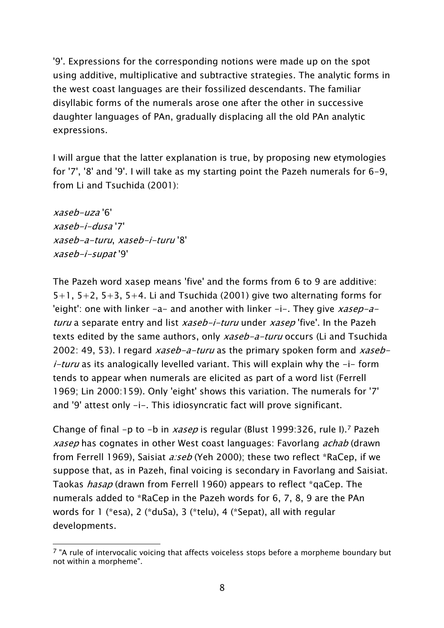'9'. Expressions for the corresponding notions were made up on the spot using additive, multiplicative and subtractive strategies. The analytic forms in the west coast languages are their fossilized descendants. The familiar disyllabic forms of the numerals arose one after the other in successive daughter languages of PAn, gradually displacing all the old PAn analytic expressions.

I will argue that the latter explanation is true, by proposing new etymologies for '7', '8' and '9'. I will take as my starting point the Pazeh numerals for 6-9, from Li and Tsuchida (2001):

xaseb-uza '6' xaseb-i-dusa '7' xaseb-a-turu, xaseb-i-turu '8' xaseb-i-supat '9'

The Pazeh word xasep means 'five' and the forms from 6 to 9 are additive:  $5+1$ ,  $5+2$ ,  $5+3$ ,  $5+4$ . Li and Tsuchida (2001) give two alternating forms for 'eight': one with linker  $-a-$  and another with linker  $-i-$ . They give xasep-aturu a separate entry and list xaseb-i-turu under xasep 'five'. In the Pazeh texts edited by the same authors, only *xaseb-a-turu* occurs (Li and Tsuchida 2002: 49, 53). I regard xaseb-a-turu as the primary spoken form and xaseb*i-turu* as its analogically levelled variant. This will explain why the  $-i$ - form tends to appear when numerals are elicited as part of a word list (Ferrell 1969; Lin 2000:159). Only 'eight' shows this variation. The numerals for '7' and '9' attest only -i-. This idiosyncratic fact will prove significant.

Change of final -p to -b in xasep is regular (Blust 1999:326, rule I).<sup>7</sup> Pazeh xasep has cognates in other West coast languages: Favorlang achab (drawn from Ferrell 1969), Saisiat *a:seb* (Yeh 2000); these two reflect \*RaCep, if we suppose that, as in Pazeh, final voicing is secondary in Favorlang and Saisiat. Taokas hasap (drawn from Ferrell 1960) appears to reflect \*qaCep. The numerals added to \*RaCep in the Pazeh words for 6, 7, 8, 9 are the PAn words for 1 (\*esa), 2 (\*duSa), 3 (\*telu), 4 (\*Sepat), all with regular developments.

 $\overline{a}$  $7$  "A rule of intervocalic voicing that affects voiceless stops before a morpheme boundary but not within a morpheme".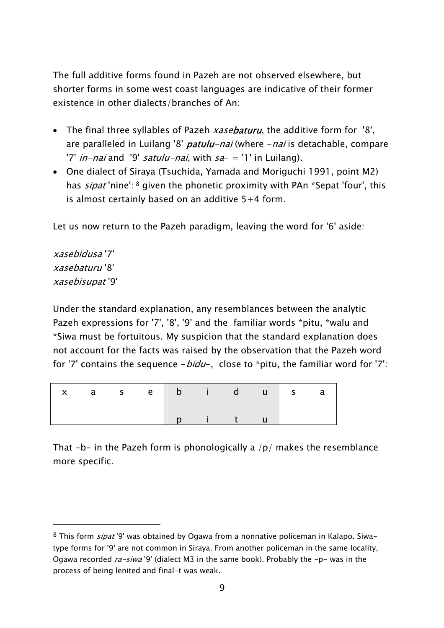The full additive forms found in Pazeh are not observed elsewhere, but shorter forms in some west coast languages are indicative of their former existence in other dialects/branches of An:

- The final three syllables of Pazeh xasebaturu, the additive form for '8', are paralleled in Luilang '8' *patulu-nai* (where - nai is detachable, compare '7' *in-nai* and '9' *satulu-nai*, with  $sa- = '1'$  in Luilang).
- One dialect of Siraya (Tsuchida, Yamada and Moriguchi 1991, point M2) has *sipat* 'nine': <sup>8</sup> given the phonetic proximity with PAn \*Sepat 'four', this is almost certainly based on an additive  $5+4$  form.

Let us now return to the Pazeh paradigm, leaving the word for '6' aside:

xasebidusa '7' xasebaturu '8' xasebisupat '9'

 $\overline{a}$ 

Under the standard explanation, any resemblances between the analytic Pazeh expressions for '7', '8', '9' and the familiar words \*pitu, \*walu and \*Siwa must be fortuitous. My suspicion that the standard explanation does not account for the facts was raised by the observation that the Pazeh word for '7' contains the sequence  $-bidu-$ , close to \*pitu, the familiar word for '7':

|  |  |  | x a sebidusa |  |  |
|--|--|--|--------------|--|--|
|  |  |  | p i t u      |  |  |

That  $-b-$  in the Pazeh form is phonologically a  $/p/$  makes the resemblance more specific.

<sup>8</sup> This form *sipat* '9' was obtained by Ogawa from a nonnative policeman in Kalapo. Siwatype forms for '9' are not common in Siraya. From another policeman in the same locality, Ogawa recorded  $ra-siwa$ <sup>'9'</sup> (dialect M3 in the same book). Probably the  $-p-$  was in the process of being lenited and final-t was weak.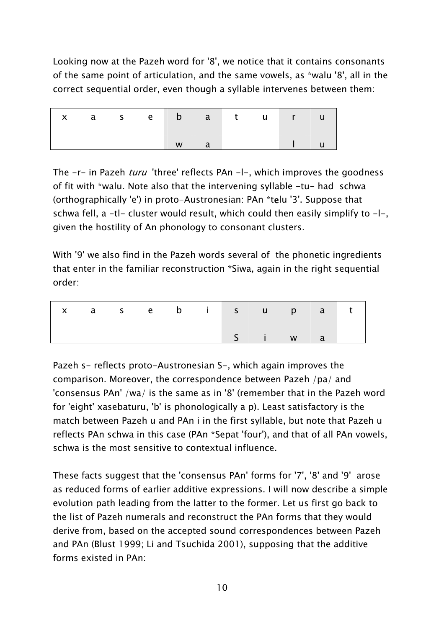Looking now at the Pazeh word for '8', we notice that it contains consonants of the same point of articulation, and the same vowels, as \*walu '8', all in the correct sequential order, even though a syllable intervenes between them:

|  |  | x a se b a turu |          |  |                                                                                   |  |
|--|--|-----------------|----------|--|-----------------------------------------------------------------------------------|--|
|  |  | W               | $\Box$ a |  | $\begin{array}{ c c c c c }\n\hline\n&\quad\text{I} & \quad\text{u}\n\end{array}$ |  |

The -r- in Pazeh *turu* 'three' reflects PAn -l-, which improves the goodness of fit with \*walu. Note also that the intervening syllable -tu- had schwa (orthographically 'e') in proto-Austronesian: PAn \*telu '3'. Suppose that schwa fell,  $a - t$ l- cluster would result, which could then easily simplify to  $-l$ -, given the hostility of An phonology to consonant clusters.

With '9' we also find in the Pazeh words several of the phonetic ingredients that enter in the familiar reconstruction \*Siwa, again in the right sequential order:

|  |  |  |  | x a sebisupat |  |
|--|--|--|--|---------------|--|
|  |  |  |  | S i w a       |  |

Pazeh s- reflects proto-Austronesian S-, which again improves the comparison. Moreover, the correspondence between Pazeh /pa/ and 'consensus PAn' /wa/ is the same as in '8' (remember that in the Pazeh word for 'eight' xasebaturu, 'b' is phonologically a p). Least satisfactory is the match between Pazeh u and PAn i in the first syllable, but note that Pazeh u reflects PAn schwa in this case (PAn \*Sepat 'four'), and that of all PAn vowels, schwa is the most sensitive to contextual influence.

These facts suggest that the 'consensus PAn' forms for '7', '8' and '9' arose as reduced forms of earlier additive expressions. I will now describe a simple evolution path leading from the latter to the former. Let us first go back to the list of Pazeh numerals and reconstruct the PAn forms that they would derive from, based on the accepted sound correspondences between Pazeh and PAn (Blust 1999; Li and Tsuchida 2001), supposing that the additive forms existed in PAn: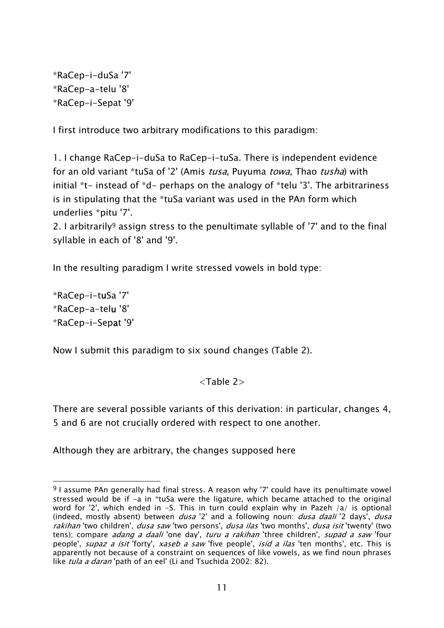\*RaCep-i-duSa '7' \*RaCep-a-telu '8' \*RaCep-i-Sepat '9'

I first introduce two arbitrary modifications to this paradigm:

1. I change RaCep-i-duSa to RaCep-i-tuSa. There is independent evidence for an old variant \*tuSa of '2' (Amis tusa, Puyuma towa, Thao tusha) with initial \*t- instead of \*d- perhaps on the analogy of \*telu '3'. The arbitrariness is in stipulating that the \*tuSa variant was used in the PAn form which underlies \*pitu '7'.

2. I arbitrarily9 assign stress to the penultimate syllable of '7' and to the final syllable in each of '8' and '9'.

In the resulting paradigm I write stressed vowels in bold type:

\*RaCep-i-tuSa '7' \*RaCep-a-telu '8' \*RaCep-i-Sepat '9'

Now I submit this paradigm to six sound changes (Table 2).

### $\langle$ Tahle 2 $>$

There are several possible variants of this derivation: in particular, changes 4, 5 and 6 are not crucially ordered with respect to one another.

Although they are arbitrary, the changes supposed here

 $\overline{a}$  $9$  I assume PAn generally had final stress. A reason why '7' could have its penultimate vowel stressed would be if -a in \*tuSa were the ligature, which became attached to the original word for '2', which ended in -S. This in turn could explain why in Pazeh /a/ is optional (indeed, mostly absent) between *dusa* '2' and a following noun: *dusa daali* '2 days', *dusa* rakihan 'two children', dusa saw 'two persons', dusa ilas 'two months', dusa isit 'twenty' (two tens); compare *adang a daali* 'one day', turu a rakihan 'three children', supad a saw 'four people', *supaz a isit* 'forty', *xaseb a saw* 'five people', *isid a ilas* 'ten months', etc. This is apparently not because of a constraint on sequences of like vowels, as we find noun phrases like tula a daran 'path of an eel' (Li and Tsuchida 2002: 82).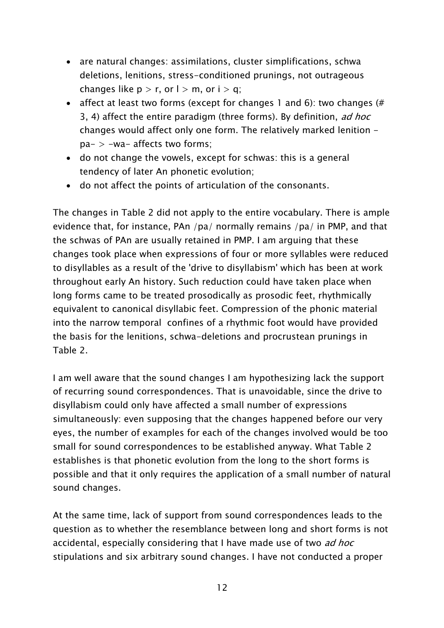- are natural changes: assimilations, cluster simplifications, schwa deletions, lenitions, stress-conditioned prunings, not outrageous changes like  $p > r$ , or  $l > m$ , or  $i > q$ ;
- affect at least two forms (except for changes 1 and 6): two changes (# 3, 4) affect the entire paradigm (three forms). By definition, ad hoc changes would affect only one form. The relatively marked lenition pa- > -wa- affects two forms;
- do not change the vowels, except for schwas: this is a general tendency of later An phonetic evolution;
- do not affect the points of articulation of the consonants.

The changes in Table 2 did not apply to the entire vocabulary. There is ample evidence that, for instance, PAn /pa/ normally remains /pa/ in PMP, and that the schwas of PAn are usually retained in PMP. I am arguing that these changes took place when expressions of four or more syllables were reduced to disyllables as a result of the 'drive to disyllabism' which has been at work throughout early An history. Such reduction could have taken place when long forms came to be treated prosodically as prosodic feet, rhythmically equivalent to canonical disyllabic feet. Compression of the phonic material into the narrow temporal confines of a rhythmic foot would have provided the basis for the lenitions, schwa-deletions and procrustean prunings in Table 2.

I am well aware that the sound changes I am hypothesizing lack the support of recurring sound correspondences. That is unavoidable, since the drive to disyllabism could only have affected a small number of expressions simultaneously: even supposing that the changes happened before our very eyes, the number of examples for each of the changes involved would be too small for sound correspondences to be established anyway. What Table 2 establishes is that phonetic evolution from the long to the short forms is possible and that it only requires the application of a small number of natural sound changes.

At the same time, lack of support from sound correspondences leads to the question as to whether the resemblance between long and short forms is not accidental, especially considering that I have made use of two *ad hoc* stipulations and six arbitrary sound changes. I have not conducted a proper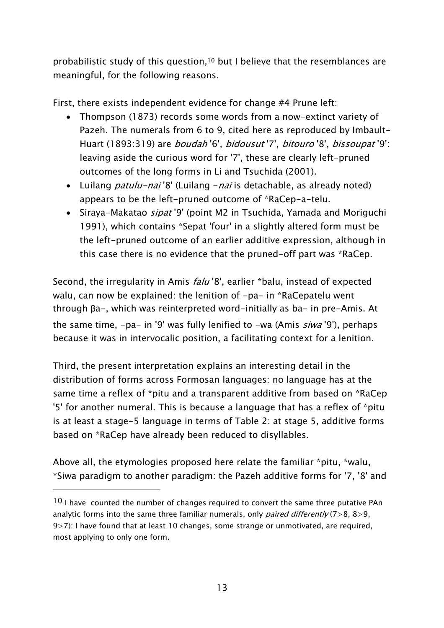probabiIistic study of this question,10 but I believe that the resemblances are meaningful, for the following reasons.

First, there exists independent evidence for change #4 Prune left:

- Thompson (1873) records some words from a now-extinct variety of Pazeh. The numerals from 6 to 9, cited here as reproduced by Imbault-Huart (1893:319) are *boudah* '6', *bidousut* '7', *bitouro* '8', *bissoupat* '9': leaving aside the curious word for '7', these are clearly left-pruned outcomes of the long forms in Li and Tsuchida (2001).
- Luilang *patulu-nai* '8' (Luilang nai is detachable, as already noted) appears to be the left-pruned outcome of \*RaCep-a-telu.
- Siraya-Makatao *sipat* '9' (point M2 in Tsuchida, Yamada and Moriguchi 1991), which contains \*Sepat 'four' in a slightly altered form must be the left-pruned outcome of an earlier additive expression, although in this case there is no evidence that the pruned-off part was \*RaCep.

Second, the irregularity in Amis *falu* '8', earlier \*balu, instead of expected walu, can now be explained: the lenition of -pa- in \*RaCepatelu went through βa-, which was reinterpreted word-initially as ba- in pre-Amis. At the same time,  $-pa-$  in '9' was fully lenified to  $-wa$  (Amis  $\sin a$  '9'), perhaps because it was in intervocalic position, a facilitating context for a lenition.

Third, the present interpretation explains an interesting detail in the distribution of forms across Formosan languages: no language has at the same time a reflex of \*pitu and a transparent additive from based on \*RaCep '5' for another numeral. This is because a language that has a reflex of \*pitu is at least a stage-5 language in terms of Table 2: at stage 5, additive forms based on \*RaCep have already been reduced to disyllables.

Above all, the etymologies proposed here relate the familiar \*pitu, \*walu, \*Siwa paradigm to another paradigm: the Pazeh additive forms for '7, '8' and

<sup>&</sup>lt;sup>10</sup> I have counted the number of changes required to convert the same three putative PAn analytic forms into the same three familiar numerals, only *paired differently*  $(7>8, 8>9, 1)$ 9>7): I have found that at least 10 changes, some strange or unmotivated, are required, most applying to only one form.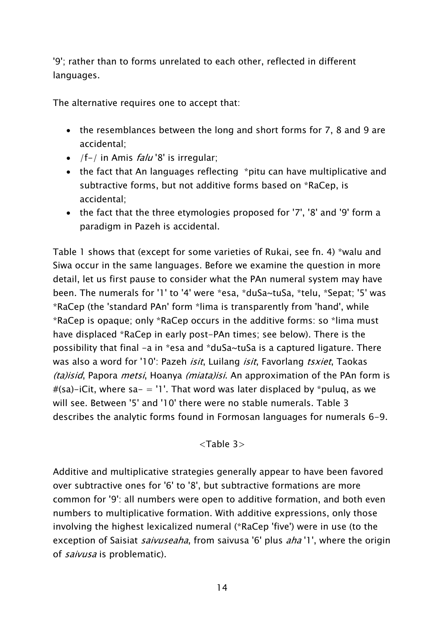'9'; rather than to forms unrelated to each other, reflected in different languages.

The alternative requires one to accept that:

- the resemblances between the long and short forms for 7, 8 and 9 are accidental;
- /f-/ in Amis  $falu$  '8' is irregular;
- the fact that An languages reflecting \*pitu can have multiplicative and subtractive forms, but not additive forms based on \*RaCep, is accidental;
- the fact that the three etymologies proposed for '7', '8' and '9' form a paradigm in Pazeh is accidental.

Table 1 shows that (except for some varieties of Rukai, see fn. 4) \*walu and Siwa occur in the same languages. Before we examine the question in more detail, let us first pause to consider what the PAn numeral system may have been. The numerals for '1' to '4' were \*esa, \*duSa~tuSa, \*telu, \*Sepat; '5' was \*RaCep (the 'standard PAn' form \*lima is transparently from 'hand', while \*RaCep is opaque; only \*RaCep occurs in the additive forms: so \*lima must have displaced \*RaCep in early post-PAn times; see below). There is the possibility that final -a in \*esa and \*duSa~tuSa is a captured ligature. There was also a word for '10': Pazeh *isit*, Luilang *isit*, Favorlang *tsxiet*, Taokas (ta)isid, Papora *metsi*, Hoanya *(miata)isi*. An approximation of the PAn form is  $#$ (sa)-iCit, where sa- = '1'. That word was later displaced by \*puluq, as we will see. Between '5' and '10' there were no stable numerals. Table 3 describes the analytic forms found in Formosan languages for numerals 6-9.

 $\langle$ Table 3 $>$ 

Additive and multiplicative strategies generally appear to have been favored over subtractive ones for '6' to '8', but subtractive formations are more common for '9': all numbers were open to additive formation, and both even numbers to multiplicative formation. With additive expressions, only those involving the highest lexicalized numeral (\*RaCep 'five') were in use (to the exception of Saisiat *saivuseaha*, from saivusa '6' plus *aha* '1', where the origin of saivusa is problematic).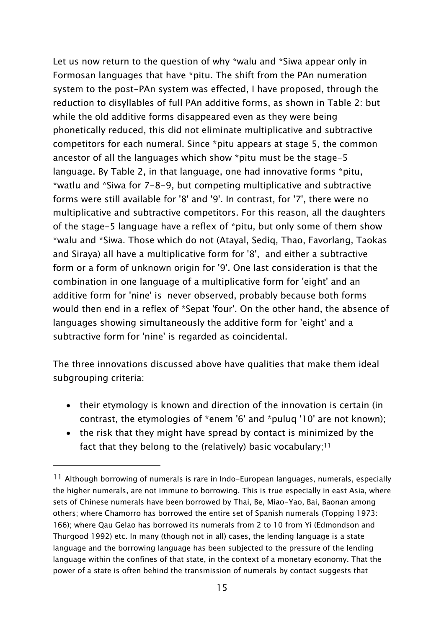Let us now return to the question of why \*walu and \*Siwa appear only in Formosan languages that have \*pitu. The shift from the PAn numeration system to the post-PAn system was effected, I have proposed, through the reduction to disyllables of full PAn additive forms, as shown in Table 2: but while the old additive forms disappeared even as they were being phonetically reduced, this did not eliminate multiplicative and subtractive competitors for each numeral. Since \*pitu appears at stage 5, the common ancestor of all the languages which show \*pitu must be the stage-5 language. By Table 2, in that language, one had innovative forms \*pitu, \*watlu and \*Siwa for 7-8-9, but competing multiplicative and subtractive forms were still available for '8' and '9'. In contrast, for '7', there were no multiplicative and subtractive competitors. For this reason, all the daughters of the stage-5 language have a reflex of \*pitu, but only some of them show \*walu and \*Siwa. Those which do not (Atayal, Sediq, Thao, Favorlang, Taokas and Siraya) all have a multiplicative form for '8', and either a subtractive form or a form of unknown origin for '9'. One last consideration is that the combination in one language of a multiplicative form for 'eight' and an additive form for 'nine' is never observed, probably because both forms would then end in a reflex of \*Sepat 'four'. On the other hand, the absence of languages showing simultaneously the additive form for 'eight' and a subtractive form for 'nine' is regarded as coincidental.

The three innovations discussed above have qualities that make them ideal subgrouping criteria:

- their etymology is known and direction of the innovation is certain (in contrast, the etymologies of \*enem '6' and \*puluq '10' are not known);
- the risk that they might have spread by contact is minimized by the fact that they belong to the (relatively) basic vocabulary;<sup>11</sup>

<sup>&</sup>lt;sup>11</sup> Although borrowing of numerals is rare in Indo-European languages, numerals, especially the higher numerals, are not immune to borrowing. This is true especially in east Asia, where sets of Chinese numerals have been borrowed by Thai, Be, Miao-Yao, Bai, Baonan among others; where Chamorro has borrowed the entire set of Spanish numerals (Topping 1973: 166); where Qau Gelao has borrowed its numerals from 2 to 10 from Yi (Edmondson and Thurgood 1992) etc. In many (though not in all) cases, the lending language is a state language and the borrowing language has been subjected to the pressure of the lending language within the confines of that state, in the context of a monetary economy. That the power of a state is often behind the transmission of numerals by contact suggests that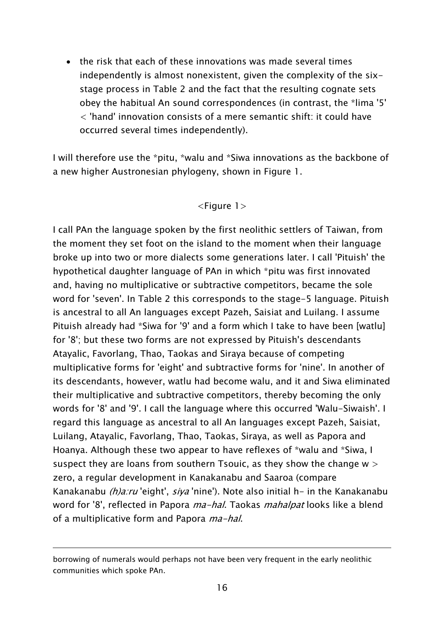• the risk that each of these innovations was made several times independently is almost nonexistent, given the complexity of the sixstage process in Table 2 and the fact that the resulting cognate sets obey the habitual An sound correspondences (in contrast, the \*lima '5' < 'hand' innovation consists of a mere semantic shift: it could have occurred several times independently).

I will therefore use the \*pitu, \*walu and \*Siwa innovations as the backbone of a new higher Austronesian phylogeny, shown in Figure 1.

#### <Figure 1>

I call PAn the language spoken by the first neolithic settlers of Taiwan, from the moment they set foot on the island to the moment when their language broke up into two or more dialects some generations later. I call 'Pituish' the hypothetical daughter language of PAn in which \*pitu was first innovated and, having no multiplicative or subtractive competitors, became the sole word for 'seven'. In Table 2 this corresponds to the stage-5 language. Pituish is ancestral to all An languages except Pazeh, Saisiat and Luilang. I assume Pituish already had \*Siwa for '9' and a form which I take to have been [watlu] for '8'; but these two forms are not expressed by Pituish's descendants Atayalic, Favorlang, Thao, Taokas and Siraya because of competing multiplicative forms for 'eight' and subtractive forms for 'nine'. In another of its descendants, however, watlu had become walu, and it and Siwa eliminated their multiplicative and subtractive competitors, thereby becoming the only words for '8' and '9'. I call the language where this occurred 'Walu-Siwaish'. I regard this language as ancestral to all An languages except Pazeh, Saisiat, Luilang, Atayalic, Favorlang, Thao, Taokas, Siraya, as well as Papora and Hoanya. Although these two appear to have reflexes of \*walu and \*Siwa, I suspect they are loans from southern Tsouic, as they show the change  $w >$ zero, a regular development in Kanakanabu and Saaroa (compare Kanakanabu *(h)a:ru* 'eight', *siya* 'nine'). Note also initial h- in the Kanakanabu word for '8', reflected in Papora *ma-hal*. Taokas *mahalpat* looks like a blend of a multiplicative form and Papora *ma-hal*.

borrowing of numerals would perhaps not have been very frequent in the early neolithic communities which spoke PAn.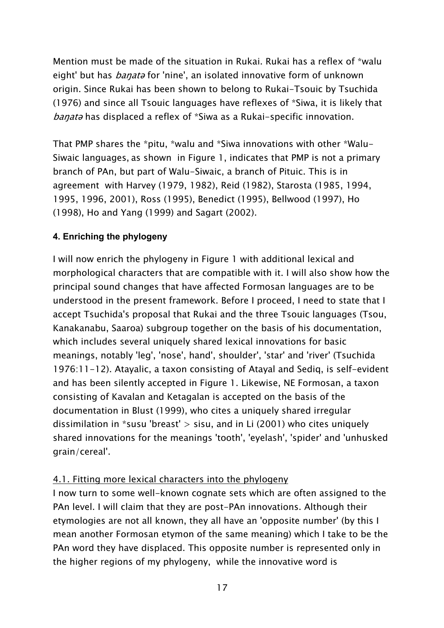Mention must be made of the situation in Rukai. Rukai has a reflex of \*walu eight' but has *banat*a for 'nine', an isolated innovative form of unknown origin. Since Rukai has been shown to belong to Rukai-Tsouic by Tsuchida (1976) and since all Tsouic languages have reflexes of \*Siwa, it is likely that banata has displaced a reflex of \*Siwa as a Rukai-specific innovation.

That PMP shares the \*pitu, \*walu and \*Siwa innovations with other \*Walu-Siwaic languages, as shown in Figure 1, indicates that PMP is not a primary branch of PAn, but part of Walu-Siwaic, a branch of Pituic. This is in agreement with Harvey (1979, 1982), Reid (1982), Starosta (1985, 1994, 1995, 1996, 2001), Ross (1995), Benedict (1995), Bellwood (1997), Ho (1998), Ho and Yang (1999) and Sagart (2002).

## **4. Enriching the phylogeny**

I will now enrich the phylogeny in Figure 1 with additional lexical and morphological characters that are compatible with it. I will also show how the principal sound changes that have affected Formosan languages are to be understood in the present framework. Before I proceed, I need to state that I accept Tsuchida's proposal that Rukai and the three Tsouic languages (Tsou, Kanakanabu, Saaroa) subgroup together on the basis of his documentation, which includes several uniquely shared lexical innovations for basic meanings, notably 'leg', 'nose', hand', shoulder', 'star' and 'river' (Tsuchida 1976:11-12). Atayalic, a taxon consisting of Atayal and Sediq, is self-evident and has been silently accepted in Figure 1. Likewise, NE Formosan, a taxon consisting of Kavalan and Ketagalan is accepted on the basis of the documentation in Blust (1999), who cites a uniquely shared irregular dissimilation in \*susu 'breast'  $>$  sisu, and in Li (2001) who cites uniquely shared innovations for the meanings 'tooth', 'eyelash', 'spider' and 'unhusked grain/cereal'.

### 4.1. Fitting more lexical characters into the phylogeny

I now turn to some well-known cognate sets which are often assigned to the PAn level. I will claim that they are post-PAn innovations. Although their etymologies are not all known, they all have an 'opposite number' (by this I mean another Formosan etymon of the same meaning) which I take to be the PAn word they have displaced. This opposite number is represented only in the higher regions of my phylogeny, while the innovative word is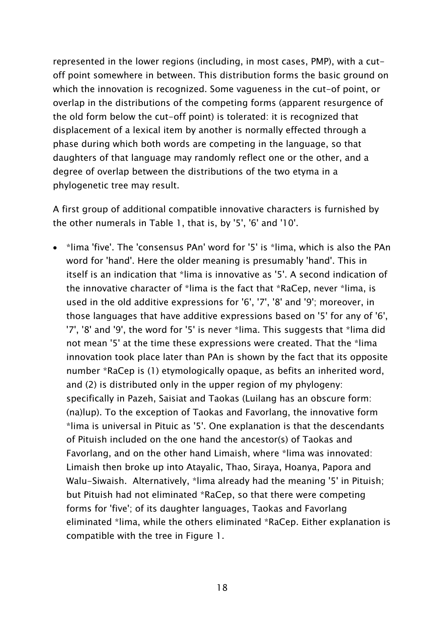represented in the lower regions (including, in most cases, PMP), with a cutoff point somewhere in between. This distribution forms the basic ground on which the innovation is recognized. Some vagueness in the cut-of point, or overlap in the distributions of the competing forms (apparent resurgence of the old form below the cut-off point) is tolerated: it is recognized that displacement of a lexical item by another is normally effected through a phase during which both words are competing in the language, so that daughters of that language may randomly reflect one or the other, and a degree of overlap between the distributions of the two etyma in a phylogenetic tree may result.

A first group of additional compatible innovative characters is furnished by the other numerals in Table 1, that is, by '5', '6' and '10'.

• \*lima 'five'. The 'consensus PAn' word for '5' is \*lima, which is also the PAn word for 'hand'. Here the older meaning is presumably 'hand'. This in itself is an indication that \*lima is innovative as '5'. A second indication of the innovative character of \*lima is the fact that \*RaCep, never \*lima, is used in the old additive expressions for '6', '7', '8' and '9'; moreover, in those languages that have additive expressions based on '5' for any of '6', '7', '8' and '9', the word for '5' is never \*lima. This suggests that \*lima did not mean '5' at the time these expressions were created. That the \*lima innovation took place later than PAn is shown by the fact that its opposite number \*RaCep is (1) etymologically opaque, as befits an inherited word, and (2) is distributed only in the upper region of my phylogeny: specifically in Pazeh, Saisiat and Taokas (Luilang has an obscure form: (na)lup). To the exception of Taokas and Favorlang, the innovative form \*lima is universal in Pituic as '5'. One explanation is that the descendants of Pituish included on the one hand the ancestor(s) of Taokas and Favorlang, and on the other hand Limaish, where \*lima was innovated: Limaish then broke up into Atayalic, Thao, Siraya, Hoanya, Papora and Walu-Siwaish. Alternatively, \*lima already had the meaning '5' in Pituish; but Pituish had not eliminated \*RaCep, so that there were competing forms for 'five'; of its daughter languages, Taokas and Favorlang eliminated \*lima, while the others eliminated \*RaCep. Either explanation is compatible with the tree in Figure 1.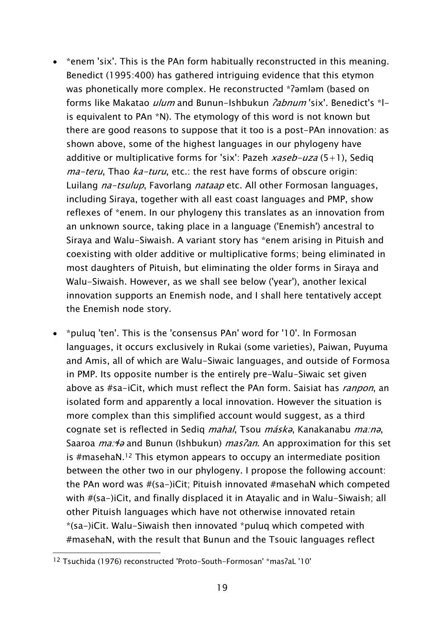- \*enem 'six'. This is the PAn form habitually reconstructed in this meaning. Benedict (1995:400) has gathered intriguing evidence that this etymon was phonetically more complex. He reconstructed \*ʔəmləm (based on forms like Makatao *ulum* and Bunun-Ishbukun *?abnum* 'six'. Benedict's \*lis equivalent to PAn \*N). The etymology of this word is not known but there are good reasons to suppose that it too is a post-PAn innovation: as shown above, some of the highest languages in our phylogeny have additive or multiplicative forms for 'six': Pazeh  $xaseb-uza(5+1)$ , Sediq ma-teru, Thao ka-turu, etc.: the rest have forms of obscure origin: Luilang *na-tsulup*, Favorlang *nataap* etc. All other Formosan languages, including Siraya, together with all east coast languages and PMP, show reflexes of \*enem. In our phylogeny this translates as an innovation from an unknown source, taking place in a language ('Enemish') ancestral to Siraya and Walu-Siwaish. A variant story has \*enem arising in Pituish and coexisting with older additive or multiplicative forms; being eliminated in most daughters of Pituish, but eliminating the older forms in Siraya and Walu-Siwaish. However, as we shall see below ('year'), another lexical innovation supports an Enemish node, and I shall here tentatively accept the Enemish node story.
- \*puluq 'ten'. This is the 'consensus PAn' word for '10'. In Formosan languages, it occurs exclusively in Rukai (some varieties), Paiwan, Puyuma and Amis, all of which are Walu-Siwaic languages, and outside of Formosa in PMP. Its opposite number is the entirely pre-Walu-Siwaic set given above as #sa-iCit, which must reflect the PAn form. Saisiat has *ranpon*, an isolated form and apparently a local innovation. However the situation is more complex than this simplified account would suggest, as a third cognate set is reflected in Sediq mahal, Tsou máskə, Kanakanabu ma:n<sup>ə</sup>, Saaroa *ma:* 4 and Bunun (Ishbukun) *mas?an*. An approximation for this set is #masehaN.12 This etymon appears to occupy an intermediate position between the other two in our phylogeny. I propose the following account: the PAn word was #(sa-)iCit; Pituish innovated #masehaN which competed with #(sa-)iCit, and finally displaced it in Atayalic and in Walu-Siwaish; all other Pituish languages which have not otherwise innovated retain \*(sa-)iCit. Walu-Siwaish then innovated \*puluq which competed with #masehaN, with the result that Bunun and the Tsouic languages reflect

 $\overline{a}$ 12 Tsuchida (1976) reconstructed 'Proto-South-Formosan' \*masʔaL '10'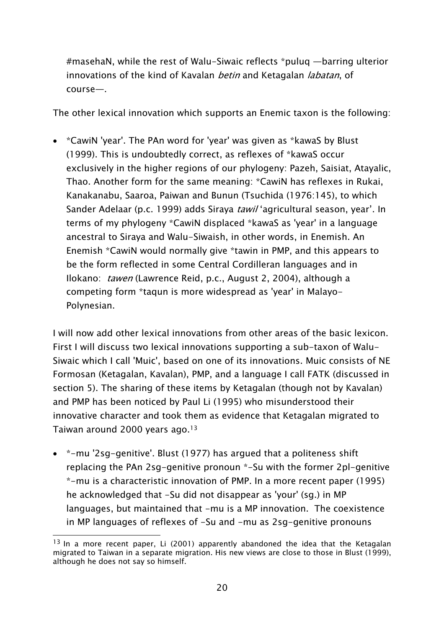#masehaN, while the rest of Walu-Siwaic reflects \*puluq —barring ulterior innovations of the kind of Kavalan *betin* and Ketagalan *labatan*, of course—.

The other lexical innovation which supports an Enemic taxon is the following:

• \*CawiN 'year'. The PAn word for 'year' was given as \*kawaS by Blust (1999). This is undoubtedly correct, as reflexes of \*kawaS occur exclusively in the higher regions of our phylogeny: Pazeh, Saisiat, Atayalic, Thao. Another form for the same meaning: \*CawiN has reflexes in Rukai, Kanakanabu, Saaroa, Paiwan and Bunun (Tsuchida (1976:145), to which Sander Adelaar (p.c. 1999) adds Siraya tawil 'agricultural season, year'. In terms of my phylogeny \*CawiN displaced \*kawaS as 'year' in a language ancestral to Siraya and Walu-Siwaish, in other words, in Enemish. An Enemish \*CawiN would normally give \*tawin in PMP, and this appears to be the form reflected in some Central Cordilleran languages and in Ilokano: tawen (Lawrence Reid, p.c., August 2, 2004), although a competing form \*taqun is more widespread as 'year' in Malayo-Polynesian.

I will now add other lexical innovations from other areas of the basic lexicon. First I will discuss two lexical innovations supporting a sub-taxon of Walu-Siwaic which I call 'Muic', based on one of its innovations. Muic consists of NE Formosan (Ketagalan, Kavalan), PMP, and a language I call FATK (discussed in section 5). The sharing of these items by Ketagalan (though not by Kavalan) and PMP has been noticed by Paul Li (1995) who misunderstood their innovative character and took them as evidence that Ketagalan migrated to Taiwan around 2000 years ago.13

• \*-mu '2sg-genitive'. Blust (1977) has argued that a politeness shift replacing the PAn 2sg-genitive pronoun \*-Su with the former 2pl-genitive \*-mu is a characteristic innovation of PMP. In a more recent paper (1995) he acknowledged that -Su did not disappear as 'your' (sg.) in MP languages, but maintained that -mu is a MP innovation. The coexistence in MP languages of reflexes of -Su and -mu as 2sg-genitive pronouns

 $\overline{a}$  $13$  In a more recent paper, Li (2001) apparently abandoned the idea that the Ketagalan migrated to Taiwan in a separate migration. His new views are close to those in Blust (1999), although he does not say so himself.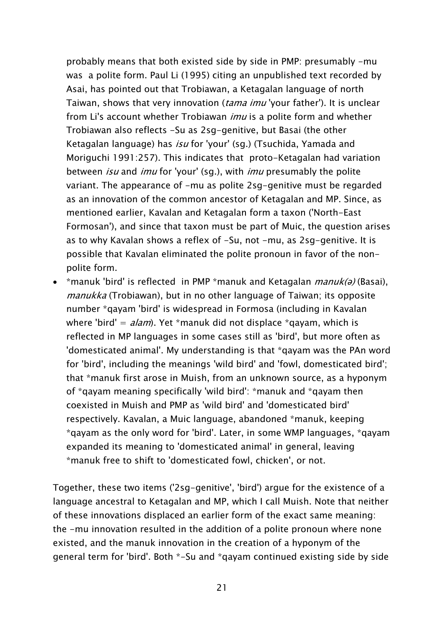probably means that both existed side by side in PMP: presumably -mu was a polite form. Paul Li (1995) citing an unpublished text recorded by Asai, has pointed out that Trobiawan, a Ketagalan language of north Taiwan, shows that very innovation (*tama imu* 'your father'). It is unclear from Li's account whether Trobiawan *imu* is a polite form and whether Trobiawan also reflects -Su as 2sg-genitive, but Basai (the other Ketagalan language) has isu for 'your' (sg.) (Tsuchida, Yamada and Moriguchi 1991:257). This indicates that proto-Ketagalan had variation between *isu* and *imu* for 'your' (sg.), with *imu* presumably the polite variant. The appearance of -mu as polite 2sg-genitive must be regarded as an innovation of the common ancestor of Ketagalan and MP. Since, as mentioned earlier, Kavalan and Ketagalan form a taxon ('North-East Formosan'), and since that taxon must be part of Muic, the question arises as to why Kavalan shows a reflex of -Su, not -mu, as 2sg-genitive. It is possible that Kavalan eliminated the polite pronoun in favor of the nonpolite form.

•  $*$ manuk 'bird' is reflected in PMP  $*$ manuk and Ketagalan *manuk(ə)* (Basai), manukka (Trobiawan), but in no other language of Taiwan; its opposite number \*qayam 'bird' is widespread in Formosa (including in Kavalan where 'bird' =  $alam$ ). Yet \*manuk did not displace \*gayam, which is reflected in MP languages in some cases still as 'bird', but more often as 'domesticated animal'. My understanding is that \*qayam was the PAn word for 'bird', including the meanings 'wild bird' and 'fowl, domesticated bird'; that \*manuk first arose in Muish, from an unknown source, as a hyponym of \*qayam meaning specifically 'wild bird': \*manuk and \*qayam then coexisted in Muish and PMP as 'wild bird' and 'domesticated bird' respectively. Kavalan, a Muic language, abandoned \*manuk, keeping \*qayam as the only word for 'bird'. Later, in some WMP languages, \*qayam expanded its meaning to 'domesticated animal' in general, leaving \*manuk free to shift to 'domesticated fowl, chicken', or not.

Together, these two items ('2sg-genitive', 'bird') argue for the existence of a language ancestral to Ketagalan and MP, which I call Muish. Note that neither of these innovations displaced an earlier form of the exact same meaning: the -mu innovation resulted in the addition of a polite pronoun where none existed, and the manuk innovation in the creation of a hyponym of the general term for 'bird'. Both \*-Su and \*qayam continued existing side by side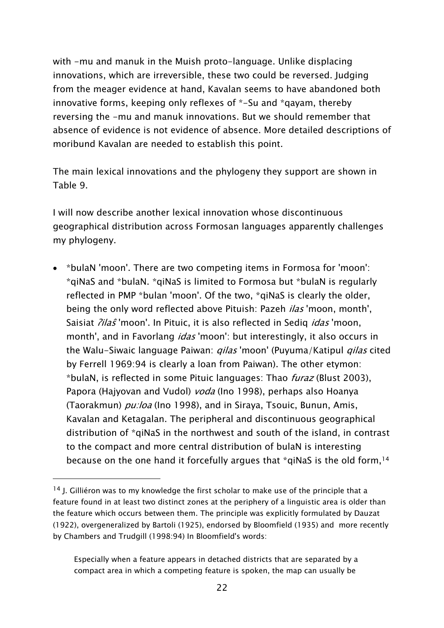with -mu and manuk in the Muish proto-language. Unlike displacing innovations, which are irreversible, these two could be reversed. Judging from the meager evidence at hand, Kavalan seems to have abandoned both innovative forms, keeping only reflexes of \*-Su and \*qayam, thereby reversing the -mu and manuk innovations. But we should remember that absence of evidence is not evidence of absence. More detailed descriptions of moribund Kavalan are needed to establish this point.

The main lexical innovations and the phylogeny they support are shown in Table 9.

I will now describe another lexical innovation whose discontinuous geographical distribution across Formosan languages apparently challenges my phylogeny.

• \*bulaN 'moon'. There are two competing items in Formosa for 'moon': \*qiNaS and \*bulaN. \*qiNaS is limited to Formosa but \*bulaN is regularly reflected in PMP \*bulan 'moon'. Of the two, \*qiNaS is clearly the older, being the only word reflected above Pituish: Pazeh *ilas* 'moon, month', Saisiat *?ilaŝ* 'moon'. In Pituic, it is also reflected in Sedig *idas* 'moon, month', and in Favorlang *idas* 'moon': but interestingly, it also occurs in the Walu-Siwaic language Paiwan: *qilas* 'moon' (Puyuma/Katipul *qilas* cited by Ferrell 1969:94 is clearly a loan from Paiwan). The other etymon: \*bulaN, is reflected in some Pituic languages: Thao furaz (Blust 2003), Papora (Hajyovan and Vudol) *voda* (Ino 1998), perhaps also Hoanya (Taorakmun) *pu:loa* (Ino 1998), and in Siraya, Tsouic, Bunun, Amis, Kavalan and Ketagalan. The peripheral and discontinuous geographical distribution of \*qiNaS in the northwest and south of the island, in contrast to the compact and more central distribution of bulaN is interesting because on the one hand it forcefully argues that \*qiNaS is the old form,14

<sup>&</sup>lt;sup>14</sup> J. Gilliéron was to my knowledge the first scholar to make use of the principle that a feature found in at least two distinct zones at the periphery of a linguistic area is older than the feature which occurs between them. The principle was explicitly formulated by Dauzat (1922), overgeneralized by Bartoli (1925), endorsed by Bloomfield (1935) and more recently by Chambers and Trudgill (1998:94) In Bloomfield's words:

Especially when a feature appears in detached districts that are separated by a compact area in which a competing feature is spoken, the map can usually be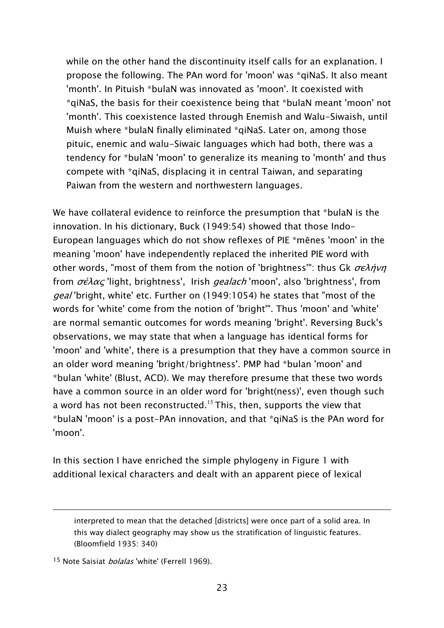while on the other hand the discontinuity itself calls for an explanation. I propose the following. The PAn word for 'moon' was \*qiNaS. It also meant 'month'. In Pituish \*bulaN was innovated as 'moon'. It coexisted with \*qiNaS, the basis for their coexistence being that \*bulaN meant 'moon' not 'month'. This coexistence lasted through Enemish and Walu-Siwaish, until Muish where \*bulaN finally eliminated \*qiNaS. Later on, among those pituic, enemic and walu-Siwaic languages which had both, there was a tendency for \*bulaN 'moon' to generalize its meaning to 'month' and thus compete with \*qiNaS, displacing it in central Taiwan, and separating Paiwan from the western and northwestern languages.

We have collateral evidence to reinforce the presumption that \*bulaN is the innovation. In his dictionary, Buck (1949:54) showed that those Indo-European languages which do not show reflexes of PIE \*mēnes 'moon' in the meaning 'moon' have independently replaced the inherited PIE word with other words, "most of them from the notion of 'brightness'": thus Gk  $\sigma \epsilon \lambda \dot{\eta} \nu \eta$ from  $\sigma \epsilon \lambda \alpha c$  'light, brightness', Irish *gealach* 'moon', also 'brightness', from geal 'bright, white' etc. Further on (1949:1054) he states that "most of the words for 'white' come from the notion of 'bright'". Thus 'moon' and 'white' are normal semantic outcomes for words meaning 'bright'. Reversing Buck's observations, we may state that when a language has identical forms for 'moon' and 'white', there is a presumption that they have a common source in an older word meaning 'bright/brightness'. PMP had \*bulan 'moon' and \*bulan 'white' (Blust, ACD). We may therefore presume that these two words have a common source in an older word for 'bright(ness)', even though such a word has not been reconstructed.<sup>15</sup> This, then, supports the view that \*bulaN 'moon' is a post-PAn innovation, and that \*qiNaS is the PAn word for 'moon'.

In this section I have enriched the simple phylogeny in Figure 1 with additional lexical characters and dealt with an apparent piece of lexical

interpreted to mean that the detached [districts] were once part of a solid area. In this way dialect geography may show us the stratification of linguistic features. (Bloomfield 1935: 340)

<sup>&</sup>lt;sup>15</sup> Note Saisiat *bolalas* 'white' (Ferrell 1969).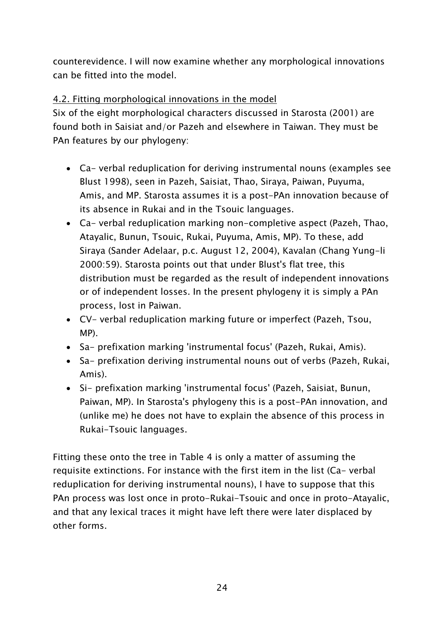counterevidence. I will now examine whether any morphological innovations can be fitted into the model.

## 4.2. Fitting morphological innovations in the model

Six of the eight morphological characters discussed in Starosta (2001) are found both in Saisiat and/or Pazeh and elsewhere in Taiwan. They must be PAn features by our phylogeny:

- Ca- verbal reduplication for deriving instrumental nouns (examples see Blust 1998), seen in Pazeh, Saisiat, Thao, Siraya, Paiwan, Puyuma, Amis, and MP. Starosta assumes it is a post-PAn innovation because of its absence in Rukai and in the Tsouic languages.
- Ca- verbal reduplication marking non-completive aspect (Pazeh, Thao, Atayalic, Bunun, Tsouic, Rukai, Puyuma, Amis, MP). To these, add Siraya (Sander Adelaar, p.c. August 12, 2004), Kavalan (Chang Yung-li 2000:59). Starosta points out that under Blust's flat tree, this distribution must be regarded as the result of independent innovations or of independent losses. In the present phylogeny it is simply a PAn process, lost in Paiwan.
- CV- verbal reduplication marking future or imperfect (Pazeh, Tsou, MP).
- Sa- prefixation marking 'instrumental focus' (Pazeh, Rukai, Amis).
- Sa- prefixation deriving instrumental nouns out of verbs (Pazeh, Rukai, Amis).
- Si- prefixation marking 'instrumental focus' (Pazeh, Saisiat, Bunun, Paiwan, MP). In Starosta's phylogeny this is a post-PAn innovation, and (unlike me) he does not have to explain the absence of this process in Rukai-Tsouic languages.

Fitting these onto the tree in Table 4 is only a matter of assuming the requisite extinctions. For instance with the first item in the list (Ca- verbal reduplication for deriving instrumental nouns), I have to suppose that this PAn process was lost once in proto-Rukai-Tsouic and once in proto-Atayalic, and that any lexical traces it might have left there were later displaced by other forms.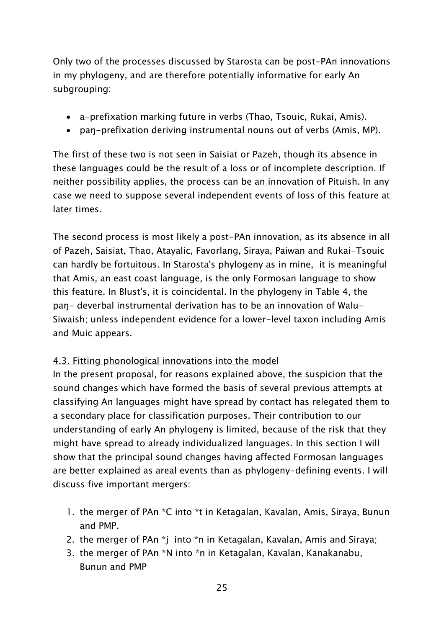Only two of the processes discussed by Starosta can be post-PAn innovations in my phylogeny, and are therefore potentially informative for early An subgrouping:

- a-prefixation marking future in verbs (Thao, Tsouic, Rukai, Amis).
- paŋ-prefixation deriving instrumental nouns out of verbs (Amis, MP).

The first of these two is not seen in Saisiat or Pazeh, though its absence in these languages could be the result of a loss or of incomplete description. If neither possibility applies, the process can be an innovation of Pituish. In any case we need to suppose several independent events of loss of this feature at later times.

The second process is most likely a post-PAn innovation, as its absence in all of Pazeh, Saisiat, Thao, Atayalic, Favorlang, Siraya, Paiwan and Rukai-Tsouic can hardly be fortuitous. In Starosta's phylogeny as in mine, it is meaningful that Amis, an east coast language, is the only Formosan language to show this feature. In Blust's, it is coincidental. In the phylogeny in Table 4, the paŋ- deverbal instrumental derivation has to be an innovation of Walu-Siwaish; unless independent evidence for a lower-level taxon including Amis and Muic appears.

## 4.3. Fitting phonological innovations into the model

In the present proposal, for reasons explained above, the suspicion that the sound changes which have formed the basis of several previous attempts at classifying An languages might have spread by contact has relegated them to a secondary place for classification purposes. Their contribution to our understanding of early An phylogeny is limited, because of the risk that they might have spread to already individualized languages. In this section I will show that the principal sound changes having affected Formosan languages are better explained as areal events than as phylogeny-defining events. I will discuss five important mergers:

- 1. the merger of PAn \*C into \*t in Ketagalan, Kavalan, Amis, Siraya, Bunun and PMP.
- 2. the merger of PAn \*j into \*n in Ketagalan, Kavalan, Amis and Siraya;
- 3. the merger of PAn \*N into \*n in Ketagalan, Kavalan, Kanakanabu, Bunun and PMP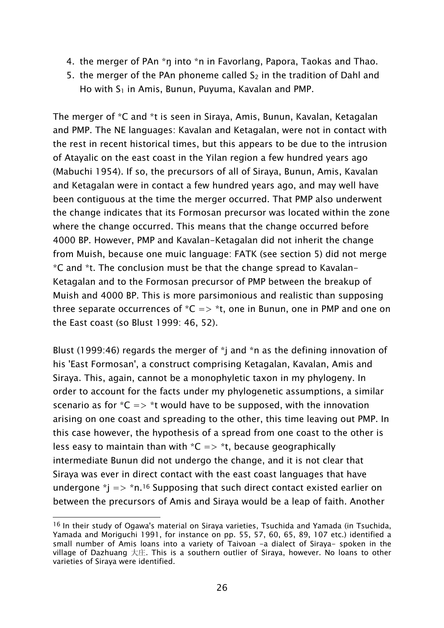- 4. the merger of PAn \*ŋ into \*n in Favorlang, Papora, Taokas and Thao.
- 5. the merger of the PAn phoneme called  $S_2$  in the tradition of Dahl and Ho with  $S_1$  in Amis, Bunun, Puyuma, Kavalan and PMP.

The merger of \*C and \*t is seen in Siraya, Amis, Bunun, Kavalan, Ketagalan and PMP. The NE languages: Kavalan and Ketagalan, were not in contact with the rest in recent historical times, but this appears to be due to the intrusion of Atayalic on the east coast in the Yilan region a few hundred years ago (Mabuchi 1954). If so, the precursors of all of Siraya, Bunun, Amis, Kavalan and Ketagalan were in contact a few hundred years ago, and may well have been contiguous at the time the merger occurred. That PMP also underwent the change indicates that its Formosan precursor was located within the zone where the change occurred. This means that the change occurred before 4000 BP. However, PMP and Kavalan-Ketagalan did not inherit the change from Muish, because one muic language: FATK (see section 5) did not merge \*C and \*t. The conclusion must be that the change spread to Kavalan-Ketagalan and to the Formosan precursor of PMP between the breakup of Muish and 4000 BP. This is more parsimonious and realistic than supposing three separate occurrences of  ${}^{\ast}C \Rightarrow {}^{\ast}t$ , one in Bunun, one in PMP and one on the East coast (so Blust 1999: 46, 52).

Blust (1999:46) regards the merger of \*j and \*n as the defining innovation of his 'East Formosan', a construct comprising Ketagalan, Kavalan, Amis and Siraya. This, again, cannot be a monophyletic taxon in my phylogeny. In order to account for the facts under my phylogenetic assumptions, a similar scenario as for  $*C \Rightarrow *t$  would have to be supposed, with the innovation arising on one coast and spreading to the other, this time leaving out PMP. In this case however, the hypothesis of a spread from one coast to the other is less easy to maintain than with  $*C => *t$ , because geographically intermediate Bunun did not undergo the change, and it is not clear that Siraya was ever in direct contact with the east coast languages that have undergone  $j \gg \rho n^{16}$  Supposing that such direct contact existed earlier on between the precursors of Amis and Siraya would be a leap of faith. Another

<sup>&</sup>lt;sup>16</sup> In their study of Ogawa's material on Siraya varieties, Tsuchida and Yamada (in Tsuchida, Yamada and Moriguchi 1991, for instance on pp. 55, 57, 60, 65, 89, 107 etc.) identified a small number of Amis loans into a variety of Taivoan -a dialect of Siraya- spoken in the village of Dazhuang 大庄. This is a southern outlier of Siraya, however. No loans to other varieties of Siraya were identified.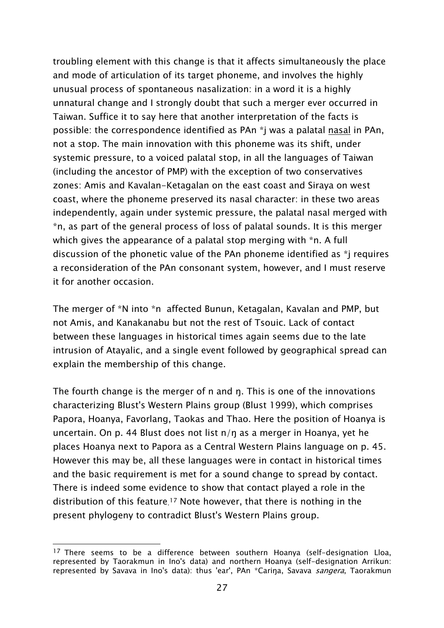troubling element with this change is that it affects simultaneously the place and mode of articulation of its target phoneme, and involves the highly unusual process of spontaneous nasalization: in a word it is a highly unnatural change and I strongly doubt that such a merger ever occurred in Taiwan. Suffice it to say here that another interpretation of the facts is possible: the correspondence identified as PAn \*j was a palatal nasal in PAn, not a stop. The main innovation with this phoneme was its shift, under systemic pressure, to a voiced palatal stop, in all the languages of Taiwan (including the ancestor of PMP) with the exception of two conservatives zones: Amis and Kavalan-Ketagalan on the east coast and Siraya on west coast, where the phoneme preserved its nasal character: in these two areas independently, again under systemic pressure, the palatal nasal merged with \*n, as part of the general process of loss of palatal sounds. It is this merger which gives the appearance of a palatal stop merging with \*n. A full discussion of the phonetic value of the PAn phoneme identified as \*j requires a reconsideration of the PAn consonant system, however, and I must reserve it for another occasion.

The merger of \*N into \*n affected Bunun, Ketagalan, Kavalan and PMP, but not Amis, and Kanakanabu but not the rest of Tsouic. Lack of contact between these languages in historical times again seems due to the late intrusion of Atayalic, and a single event followed by geographical spread can explain the membership of this change.

The fourth change is the merger of n and ŋ. This is one of the innovations characterizing Blust's Western Plains group (Blust 1999), which comprises Papora, Hoanya, Favorlang, Taokas and Thao. Here the position of Hoanya is uncertain. On p. 44 Blust does not list n/ŋ as a merger in Hoanya, yet he places Hoanya next to Papora as a Central Western Plains language on p. 45. However this may be, all these languages were in contact in historical times and the basic requirement is met for a sound change to spread by contact. There is indeed some evidence to show that contact played a role in the distribution of this feature. 17 Note however, that there is nothing in the present phylogeny to contradict Blust's Western Plains group.

 $17$  There seems to be a difference between southern Hoanya (self-designation Lloa, represented by Taorakmun in Ino's data) and northern Hoanya (self-designation Arrikun: represented by Savava in Ino's data): thus 'ear', PAn \*Carina, Savava sangera, Taorakmun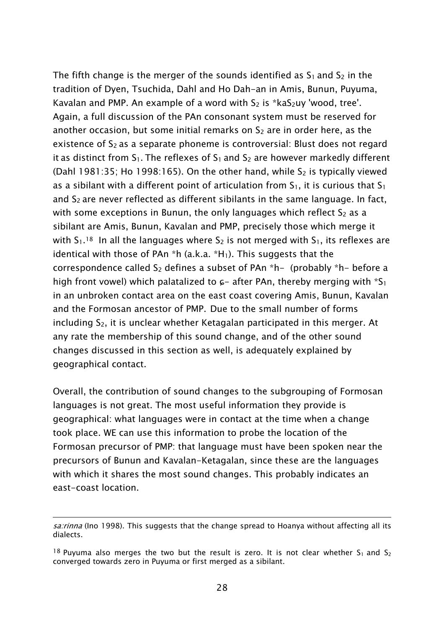The fifth change is the merger of the sounds identified as  $S_1$  and  $S_2$  in the tradition of Dyen, Tsuchida, Dahl and Ho Dah-an in Amis, Bunun, Puyuma, Kavalan and PMP. An example of a word with  $S_2$  is \*ka $S_2$ uy 'wood, tree'. Again, a full discussion of the PAn consonant system must be reserved for another occasion, but some initial remarks on  $S_2$  are in order here, as the existence of S<sub>2</sub> as a separate phoneme is controversial: Blust does not regard it as distinct from  $S_1$ . The reflexes of  $S_1$  and  $S_2$  are however markedly different (Dahl 1981:35; Ho 1998:165). On the other hand, while  $S_2$  is typically viewed as a sibilant with a different point of articulation from  $S_1$ , it is curious that  $S_1$ and  $S<sub>2</sub>$  are never reflected as different sibilants in the same language. In fact, with some exceptions in Bunun, the only languages which reflect  $S_2$  as a sibilant are Amis, Bunun, Kavalan and PMP, precisely those which merge it with  $S_1$ <sup>18</sup> In all the languages where  $S_2$  is not merged with  $S_1$ , its reflexes are identical with those of PAn  $*$ h (a.k.a.  $*$ H<sub>1</sub>). This suggests that the correspondence called  $S_2$  defines a subset of PAn  $*h-$  (probably  $*h-$  before a high front vowel) which palatalized to  $\epsilon$ - after PAn, thereby merging with  $*S_1$ in an unbroken contact area on the east coast covering Amis, Bunun, Kavalan and the Formosan ancestor of PMP. Due to the small number of forms including S<sub>2</sub>, it is unclear whether Ketagalan participated in this merger. At any rate the membership of this sound change, and of the other sound changes discussed in this section as well, is adequately explained by geographical contact.

Overall, the contribution of sound changes to the subgrouping of Formosan languages is not great. The most useful information they provide is geographical: what languages were in contact at the time when a change took place. WE can use this information to probe the location of the Formosan precursor of PMP: that language must have been spoken near the precursors of Bunun and Kavalan-Ketagalan, since these are the languages with which it shares the most sound changes. This probably indicates an east-coast location.

sa:rinna (Ino 1998). This suggests that the change spread to Hoanya without affecting all its dialects.

<sup>&</sup>lt;sup>18</sup> Puyuma also merges the two but the result is zero. It is not clear whether  $S_1$  and  $S_2$ converged towards zero in Puyuma or first merged as a sibilant.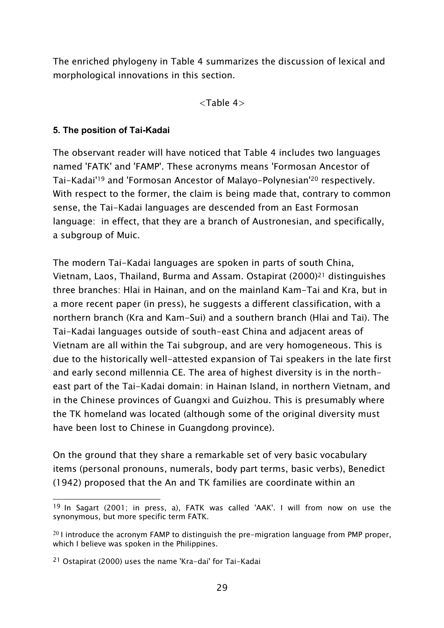The enriched phylogeny in Table 4 summarizes the discussion of lexical and morphological innovations in this section.

<Table 4>

## **5. The position of Tai-Kadai**

The observant reader will have noticed that Table 4 includes two languages named 'FATK' and 'FAMP'. These acronyms means 'Formosan Ancestor of Tai-Kadai'19 and 'Formosan Ancestor of Malayo-Polynesian'20 respectively. With respect to the former, the claim is being made that, contrary to common sense, the Tai-Kadai languages are descended from an East Formosan language: in effect, that they are a branch of Austronesian, and specifically, a subgroup of Muic.

The modern Tai-Kadai languages are spoken in parts of south China, Vietnam, Laos, Thailand, Burma and Assam. Ostapirat (2000)21 distinguishes three branches: Hlai in Hainan, and on the mainland Kam-Tai and Kra, but in a more recent paper (in press), he suggests a different classification, with a northern branch (Kra and Kam-Sui) and a southern branch (Hlai and Tai). The Tai-Kadai languages outside of south-east China and adjacent areas of Vietnam are all within the Tai subgroup, and are very homogeneous. This is due to the historically well-attested expansion of Tai speakers in the late first and early second millennia CE. The area of highest diversity is in the northeast part of the Tai-Kadai domain: in Hainan Island, in northern Vietnam, and in the Chinese provinces of Guangxi and Guizhou. This is presumably where the TK homeland was located (although some of the original diversity must have been lost to Chinese in Guangdong province).

On the ground that they share a remarkable set of very basic vocabulary items (personal pronouns, numerals, body part terms, basic verbs), Benedict (1942) proposed that the An and TK families are coordinate within an

 $\overline{a}$ <sup>19</sup> In Sagart (2001; in press, a), FATK was called 'AAK'. I will from now on use the synonymous, but more specific term FATK.

 $^{20}$  I introduce the acronym FAMP to distinguish the pre-migration language from PMP proper, which I believe was spoken in the Philippines.

<sup>21</sup> Ostapirat (2000) uses the name 'Kra-dai' for Tai-Kadai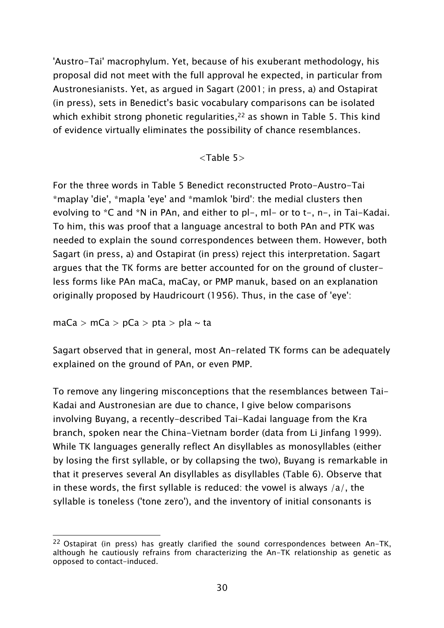'Austro-Tai' macrophylum. Yet, because of his exuberant methodology, his proposal did not meet with the full approval he expected, in particular from Austronesianists. Yet, as argued in Sagart (2001; in press, a) and Ostapirat (in press), sets in Benedict's basic vocabulary comparisons can be isolated which exhibit strong phonetic regularities,<sup>22</sup> as shown in Table 5. This kind of evidence virtually eliminates the possibility of chance resemblances.

<Table 5>

For the three words in Table 5 Benedict reconstructed Proto-Austro-Tai \*maplay 'die', \*mapla 'eye' and \*mamlok 'bird': the medial clusters then evolving to \*C and \*N in PAn, and either to pl-, ml- or to t-, n-, in Tai-Kadai. To him, this was proof that a language ancestral to both PAn and PTK was needed to explain the sound correspondences between them. However, both Sagart (in press, a) and Ostapirat (in press) reject this interpretation. Sagart argues that the TK forms are better accounted for on the ground of clusterless forms like PAn maCa, maCay, or PMP manuk, based on an explanation originally proposed by Haudricourt (1956). Thus, in the case of 'eye':

 $maCa > mCa > pCa > pta > pla \sim ta$ 

Sagart observed that in general, most An-related TK forms can be adequately explained on the ground of PAn, or even PMP.

To remove any lingering misconceptions that the resemblances between Tai-Kadai and Austronesian are due to chance, I give below comparisons involving Buyang, a recently-described Tai-Kadai language from the Kra branch, spoken near the China-Vietnam border (data from Li Jinfang 1999). While TK languages generally reflect An disyllables as monosyllables (either by losing the first syllable, or by collapsing the two), Buyang is remarkable in that it preserves several An disyllables as disyllables (Table 6). Observe that in these words, the first syllable is reduced: the vowel is always  $/a/$ , the syllable is toneless ('tone zero'), and the inventory of initial consonants is

 $\overline{a}$ <sup>22</sup> Ostapirat (in press) has greatly clarified the sound correspondences between An-TK, although he cautiously refrains from characterizing the An-TK relationship as genetic as opposed to contact-induced.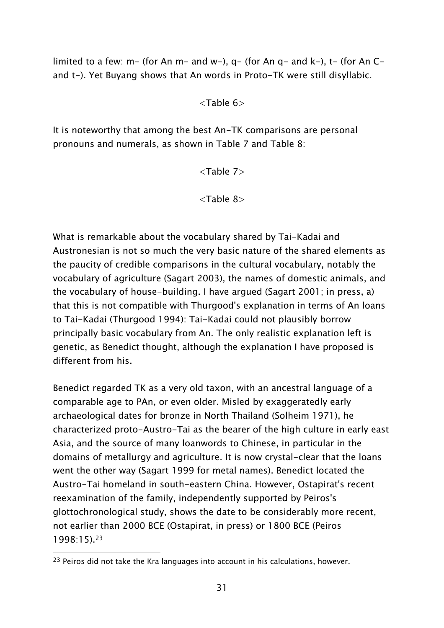limited to a few: m- (for An m- and w-),  $q-$  (for An  $q-$  and  $k-$ ),  $t-$  (for An  $C$ and t-). Yet Buyang shows that An words in Proto-TK were still disyllabic.

<Table 6>

It is noteworthy that among the best An-TK comparisons are personal pronouns and numerals, as shown in Table 7 and Table 8:

<Table 7>

<Table 8>

What is remarkable about the vocabulary shared by Tai-Kadai and Austronesian is not so much the very basic nature of the shared elements as the paucity of credible comparisons in the cultural vocabulary, notably the vocabulary of agriculture (Sagart 2003), the names of domestic animals, and the vocabulary of house-building. I have argued (Sagart 2001; in press, a) that this is not compatible with Thurgood's explanation in terms of An loans to Tai-Kadai (Thurgood 1994): Tai-Kadai could not plausibly borrow principally basic vocabulary from An. The only realistic explanation left is genetic, as Benedict thought, although the explanation I have proposed is different from his.

Benedict regarded TK as a very old taxon, with an ancestral language of a comparable age to PAn, or even older. Misled by exaggeratedly early archaeological dates for bronze in North Thailand (Solheim 1971), he characterized proto-Austro-Tai as the bearer of the high culture in early east Asia, and the source of many loanwords to Chinese, in particular in the domains of metallurgy and agriculture. It is now crystal-clear that the loans went the other way (Sagart 1999 for metal names). Benedict located the Austro-Tai homeland in south-eastern China. However, Ostapirat's recent reexamination of the family, independently supported by Peiros's glottochronological study, shows the date to be considerably more recent, not earlier than 2000 BCE (Ostapirat, in press) or 1800 BCE (Peiros 1998:15).23

 $\overline{a}$ <sup>23</sup> Peiros did not take the Kra languages into account in his calculations, however.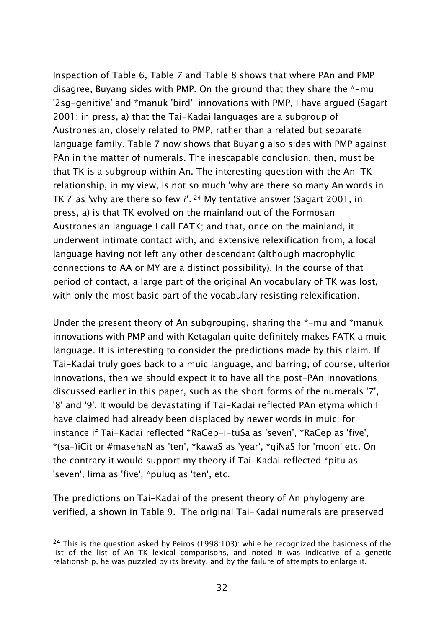Inspection of Table 6, Table 7 and Table 8 shows that where PAn and PMP disagree, Buyang sides with PMP. On the ground that they share the \*-mu '2sg-genitive' and \*manuk 'bird' innovations with PMP, I have argued (Sagart 2001; in press, a) that the Tai-Kadai languages are a subgroup of Austronesian, closely related to PMP, rather than a related but separate language family. Table 7 now shows that Buyang also sides with PMP against PAn in the matter of numerals. The inescapable conclusion, then, must be that TK is a subgroup within An. The interesting question with the An-TK relationship, in my view, is not so much 'why are there so many An words in TK ?' as 'why are there so few ?'. 24 My tentative answer (Sagart 2001, in press, a) is that TK evolved on the mainland out of the Formosan Austronesian language I call FATK; and that, once on the mainland, it underwent intimate contact with, and extensive relexification from, a local language having not left any other descendant (although macrophylic connections to AA or MY are a distinct possibility). In the course of that period of contact, a large part of the original An vocabulary of TK was lost, with only the most basic part of the vocabulary resisting relexification.

Under the present theory of An subgrouping, sharing the \*-mu and \*manuk innovations with PMP and with Ketagalan quite definitely makes FATK a muic language. It is interesting to consider the predictions made by this claim. If Tai-Kadai truly goes back to a muic language, and barring, of course, ulterior innovations, then we should expect it to have all the post-PAn innovations discussed earlier in this paper, such as the short forms of the numerals '7', '8' and '9'. It would be devastating if Tai-Kadai reflected PAn etyma which I have claimed had already been displaced by newer words in muic: for instance if Tai-Kadai reflected \*RaCep-i-tuSa as 'seven', \*RaCep as 'five', \*(sa-)iCit or #masehaN as 'ten', \*kawaS as 'year', \*qiNaS for 'moon' etc. On the contrary it would support my theory if Tai-Kadai reflected \*pitu as 'seven', lima as 'five', \*puluq as 'ten', etc.

The predictions on Tai-Kadai of the present theory of An phylogeny are verified, a shown in Table 9. The original Tai-Kadai numerals are preserved

<sup>&</sup>lt;sup>24</sup> This is the question asked by Peiros (1998:103): while he recognized the basicness of the list of the list of An-TK lexical comparisons, and noted it was indicative of a genetic relationship, he was puzzled by its brevity, and by the failure of attempts to enlarge it.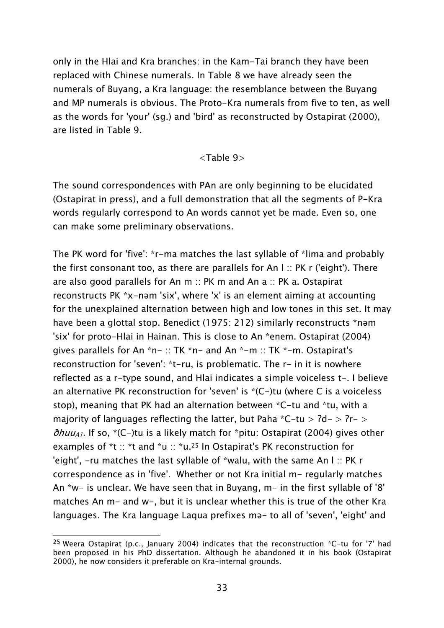only in the Hlai and Kra branches: in the Kam-Tai branch they have been replaced with Chinese numerals. In Table 8 we have already seen the numerals of Buyang, a Kra language: the resemblance between the Buyang and MP numerals is obvious. The Proto-Kra numerals from five to ten, as well as the words for 'your' (sg.) and 'bird' as reconstructed by Ostapirat (2000), are listed in Table 9.

#### <Table 9>

The sound correspondences with PAn are only beginning to be elucidated (Ostapirat in press), and a full demonstration that all the segments of P-Kra words regularly correspond to An words cannot yet be made. Even so, one can make some preliminary observations.

The PK word for 'five': \*r-ma matches the last syllable of \*lima and probably the first consonant too, as there are parallels for An l :: PK r ('eight'). There are also good parallels for An m :: PK m and An a :: PK a. Ostapirat reconstructs PK \*x-nəm 'six', where 'x' is an element aiming at accounting for the unexplained alternation between high and low tones in this set. It may have been a glottal stop. Benedict (1975: 212) similarly reconstructs \*nəm 'six' for proto-Hlai in Hainan. This is close to An \*enem. Ostapirat (2004) gives parallels for An \*n- :: TK \*n- and An \*-m :: TK \*-m. Ostapirat's reconstruction for 'seven': \*t-ru, is problematic. The r- in it is nowhere reflected as a r-type sound, and Hlai indicates a simple voiceless t-. I believe an alternative PK reconstruction for 'seven' is \*(C-)tu (where C is a voiceless stop), meaning that PK had an alternation between \*C-tu and \*tu, with a majority of languages reflecting the latter, but Paha  $*C-tu > 7d->7r->$  $\delta h u u_{A1}$ . If so, \*(C-)tu is a likely match for \*pitu: Ostapirat (2004) gives other examples of \*t :: \*t and \*u :: \*u.<sup>25</sup> In Ostapirat's PK reconstruction for 'eight', -ru matches the last syllable of \*walu, with the same An l :: PK r correspondence as in 'five'. Whether or not Kra initial m- regularly matches An \*w- is unclear. We have seen that in Buyang, m- in the first syllable of '8' matches An m- and w-, but it is unclear whether this is true of the other Kra languages. The Kra language Laqua prefixes mə- to all of 'seven', 'eight' and

 $\overline{a}$ <sup>25</sup> Weera Ostapirat (p.c., January 2004) indicates that the reconstruction  $*C$ -tu for '7' had been proposed in his PhD dissertation. Although he abandoned it in his book (Ostapirat 2000), he now considers it preferable on Kra-internal grounds.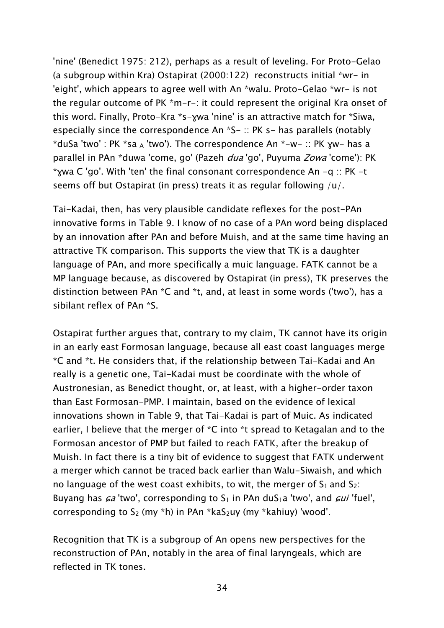'nine' (Benedict 1975: 212), perhaps as a result of leveling. For Proto-Gelao (a subgroup within Kra) Ostapirat (2000:122) reconstructs initial \*wr- in 'eight', which appears to agree well with An \*walu. Proto-Gelao \*wr- is not the regular outcome of PK \*m-r-: it could represent the original Kra onset of this word. Finally, Proto-Kra \*s-ɣwa 'nine' is an attractive match for \*Siwa, especially since the correspondence An  $*S$ - :: PK s- has parallels (notably  $*$ duSa 'two' : PK  $*$ sa A 'two'). The correspondence An  $*$ -w- :: PK  $xw$ - has a parallel in PAn \*duwa 'come, go' (Pazeh *dua* 'go', Puyuma *Zowa* 'come'): PK \* $\gamma$ wa C 'go'. With 'ten' the final consonant correspondence An  $-q$  :: PK -t seems off but Ostapirat (in press) treats it as regular following /u/.

Tai-Kadai, then, has very plausible candidate reflexes for the post-PAn innovative forms in Table 9. I know of no case of a PAn word being displaced by an innovation after PAn and before Muish, and at the same time having an attractive TK comparison. This supports the view that TK is a daughter language of PAn, and more specifically a muic language. FATK cannot be a MP language because, as discovered by Ostapirat (in press), TK preserves the distinction between PAn \*C and \*t, and, at least in some words ('two'), has a sibilant reflex of PAn \*S.

Ostapirat further argues that, contrary to my claim, TK cannot have its origin in an early east Formosan language, because all east coast languages merge \*C and \*t. He considers that, if the relationship between Tai-Kadai and An really is a genetic one, Tai-Kadai must be coordinate with the whole of Austronesian, as Benedict thought, or, at least, with a higher-order taxon than East Formosan-PMP. I maintain, based on the evidence of lexical innovations shown in Table 9, that Tai-Kadai is part of Muic. As indicated earlier, I believe that the merger of \*C into \*t spread to Ketagalan and to the Formosan ancestor of PMP but failed to reach FATK, after the breakup of Muish. In fact there is a tiny bit of evidence to suggest that FATK underwent a merger which cannot be traced back earlier than Walu-Siwaish, and which no language of the west coast exhibits, to wit, the merger of  $S_1$  and  $S_2$ : Buyang has  $\epsilon a$  'two', corresponding to  $S_1$  in PAn du $S_1a$  'two', and  $\epsilon u$  'fuel', corresponding to  $S_2$  (my \*h) in PAn \*ka $S_2$ uy (my \*kahiuy) 'wood'.

Recognition that TK is a subgroup of An opens new perspectives for the reconstruction of PAn, notably in the area of final laryngeals, which are reflected in TK tones.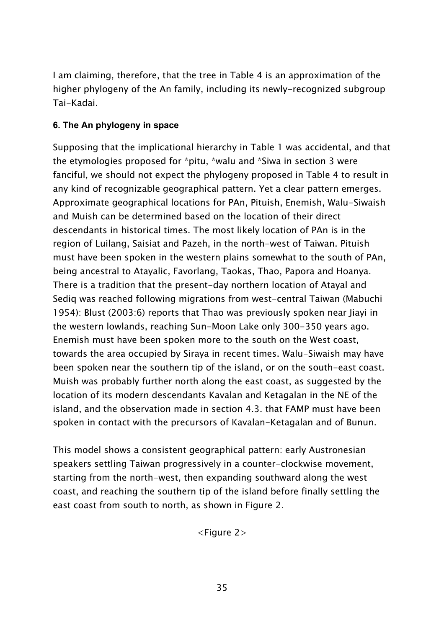I am claiming, therefore, that the tree in Table 4 is an approximation of the higher phylogeny of the An family, including its newly-recognized subgroup Tai-Kadai.

## **6. The An phylogeny in space**

Supposing that the implicational hierarchy in Table 1 was accidental, and that the etymologies proposed for \*pitu, \*walu and \*Siwa in section 3 were fanciful, we should not expect the phylogeny proposed in Table 4 to result in any kind of recognizable geographical pattern. Yet a clear pattern emerges. Approximate geographical locations for PAn, Pituish, Enemish, Walu-Siwaish and Muish can be determined based on the location of their direct descendants in historical times. The most likely location of PAn is in the region of Luilang, Saisiat and Pazeh, in the north-west of Taiwan. Pituish must have been spoken in the western plains somewhat to the south of PAn, being ancestral to Atayalic, Favorlang, Taokas, Thao, Papora and Hoanya. There is a tradition that the present-day northern location of Atayal and Sediq was reached following migrations from west-central Taiwan (Mabuchi 1954): Blust (2003:6) reports that Thao was previously spoken near Jiayi in the western lowlands, reaching Sun-Moon Lake only 300-350 years ago. Enemish must have been spoken more to the south on the West coast, towards the area occupied by Siraya in recent times. Walu-Siwaish may have been spoken near the southern tip of the island, or on the south-east coast. Muish was probably further north along the east coast, as suggested by the location of its modern descendants Kavalan and Ketagalan in the NE of the island, and the observation made in section 4.3. that FAMP must have been spoken in contact with the precursors of Kavalan-Ketagalan and of Bunun.

This model shows a consistent geographical pattern: early Austronesian speakers settling Taiwan progressively in a counter-clockwise movement, starting from the north-west, then expanding southward along the west coast, and reaching the southern tip of the island before finally settling the east coast from south to north, as shown in Figure 2.

<Figure 2>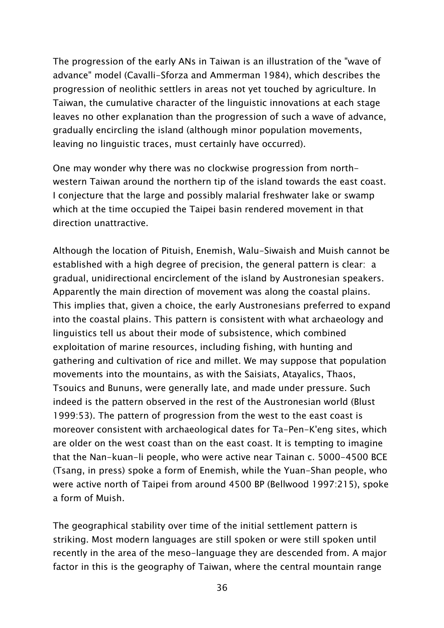The progression of the early ANs in Taiwan is an illustration of the "wave of advance" model (Cavalli-Sforza and Ammerman 1984), which describes the progression of neolithic settlers in areas not yet touched by agriculture. In Taiwan, the cumulative character of the linguistic innovations at each stage leaves no other explanation than the progression of such a wave of advance, gradually encircling the island (although minor population movements, leaving no linguistic traces, must certainly have occurred).

One may wonder why there was no clockwise progression from northwestern Taiwan around the northern tip of the island towards the east coast. I conjecture that the large and possibly malarial freshwater lake or swamp which at the time occupied the Taipei basin rendered movement in that direction unattractive.

Although the location of Pituish, Enemish, Walu-Siwaish and Muish cannot be established with a high degree of precision, the general pattern is clear: a gradual, unidirectional encirclement of the island by Austronesian speakers. Apparently the main direction of movement was along the coastal plains. This implies that, given a choice, the early Austronesians preferred to expand into the coastal plains. This pattern is consistent with what archaeology and linguistics tell us about their mode of subsistence, which combined exploitation of marine resources, including fishing, with hunting and gathering and cultivation of rice and millet. We may suppose that population movements into the mountains, as with the Saisiats, Atayalics, Thaos, Tsouics and Bununs, were generally late, and made under pressure. Such indeed is the pattern observed in the rest of the Austronesian world (Blust 1999:53). The pattern of progression from the west to the east coast is moreover consistent with archaeological dates for Ta-Pen-K'eng sites, which are older on the west coast than on the east coast. It is tempting to imagine that the Nan-kuan-li people, who were active near Tainan c. 5000-4500 BCE (Tsang, in press) spoke a form of Enemish, while the Yuan-Shan people, who were active north of Taipei from around 4500 BP (Bellwood 1997:215), spoke a form of Muish.

The geographical stability over time of the initial settlement pattern is striking. Most modern languages are still spoken or were still spoken until recently in the area of the meso-language they are descended from. A major factor in this is the geography of Taiwan, where the central mountain range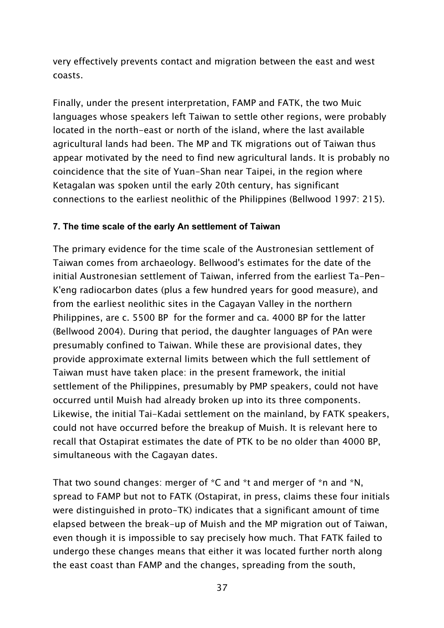very effectively prevents contact and migration between the east and west coasts.

Finally, under the present interpretation, FAMP and FATK, the two Muic languages whose speakers left Taiwan to settle other regions, were probably located in the north-east or north of the island, where the last available agricultural lands had been. The MP and TK migrations out of Taiwan thus appear motivated by the need to find new agricultural lands. It is probably no coincidence that the site of Yuan-Shan near Taipei, in the region where Ketagalan was spoken until the early 20th century, has significant connections to the earliest neolithic of the Philippines (Bellwood 1997: 215).

### **7. The time scale of the early An settlement of Taiwan**

The primary evidence for the time scale of the Austronesian settlement of Taiwan comes from archaeology. Bellwood's estimates for the date of the initial Austronesian settlement of Taiwan, inferred from the earliest Ta-Pen-K'eng radiocarbon dates (plus a few hundred years for good measure), and from the earliest neolithic sites in the Cagayan Valley in the northern Philippines, are c. 5500 BP for the former and ca. 4000 BP for the latter (Bellwood 2004). During that period, the daughter languages of PAn were presumably confined to Taiwan. While these are provisional dates, they provide approximate external limits between which the full settlement of Taiwan must have taken place: in the present framework, the initial settlement of the Philippines, presumably by PMP speakers, could not have occurred until Muish had already broken up into its three components. Likewise, the initial Tai-Kadai settlement on the mainland, by FATK speakers, could not have occurred before the breakup of Muish. It is relevant here to recall that Ostapirat estimates the date of PTK to be no older than 4000 BP, simultaneous with the Cagayan dates.

That two sound changes: merger of \*C and \*t and merger of \*n and \*N, spread to FAMP but not to FATK (Ostapirat, in press, claims these four initials were distinguished in proto-TK) indicates that a significant amount of time elapsed between the break-up of Muish and the MP migration out of Taiwan, even though it is impossible to say precisely how much. That FATK failed to undergo these changes means that either it was located further north along the east coast than FAMP and the changes, spreading from the south,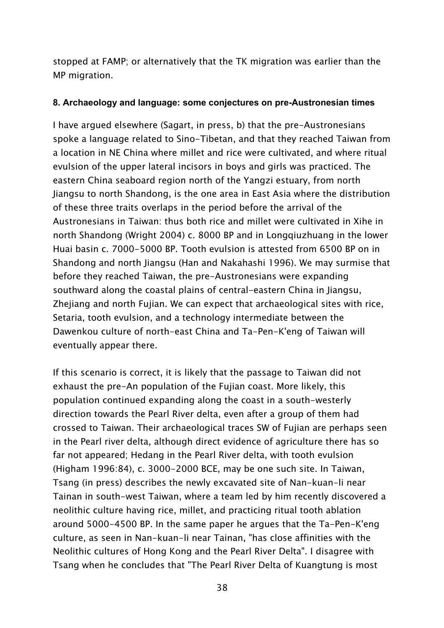stopped at FAMP; or alternatively that the TK migration was earlier than the MP migration.

#### **8. Archaeology and language: some conjectures on pre-Austronesian times**

I have argued elsewhere (Sagart, in press, b) that the pre-Austronesians spoke a language related to Sino-Tibetan, and that they reached Taiwan from a location in NE China where millet and rice were cultivated, and where ritual evulsion of the upper lateral incisors in boys and girls was practiced. The eastern China seaboard region north of the Yangzi estuary, from north Jiangsu to north Shandong, is the one area in East Asia where the distribution of these three traits overlaps in the period before the arrival of the Austronesians in Taiwan: thus both rice and millet were cultivated in Xihe in north Shandong (Wright 2004) c. 8000 BP and in Longqiuzhuang in the lower Huai basin c. 7000-5000 BP. Tooth evulsion is attested from 6500 BP on in Shandong and north Jiangsu (Han and Nakahashi 1996). We may surmise that before they reached Taiwan, the pre-Austronesians were expanding southward along the coastal plains of central-eastern China in Jiangsu, Zhejiang and north Fujian. We can expect that archaeological sites with rice, Setaria, tooth evulsion, and a technology intermediate between the Dawenkou culture of north-east China and Ta-Pen-K'eng of Taiwan will eventually appear there.

If this scenario is correct, it is likely that the passage to Taiwan did not exhaust the pre-An population of the Fujian coast. More likely, this population continued expanding along the coast in a south-westerly direction towards the Pearl River delta, even after a group of them had crossed to Taiwan. Their archaeological traces SW of Fujian are perhaps seen in the Pearl river delta, although direct evidence of agriculture there has so far not appeared; Hedang in the Pearl River delta, with tooth evulsion (Higham 1996:84), c. 3000-2000 BCE, may be one such site. In Taiwan, Tsang (in press) describes the newly excavated site of Nan-kuan-li near Tainan in south-west Taiwan, where a team led by him recently discovered a neolithic culture having rice, millet, and practicing ritual tooth ablation around 5000-4500 BP. In the same paper he argues that the Ta-Pen-K'eng culture, as seen in Nan-kuan-li near Tainan, "has close affinities with the Neolithic cultures of Hong Kong and the Pearl River Delta". I disagree with Tsang when he concludes that "The Pearl River Delta of Kuangtung is most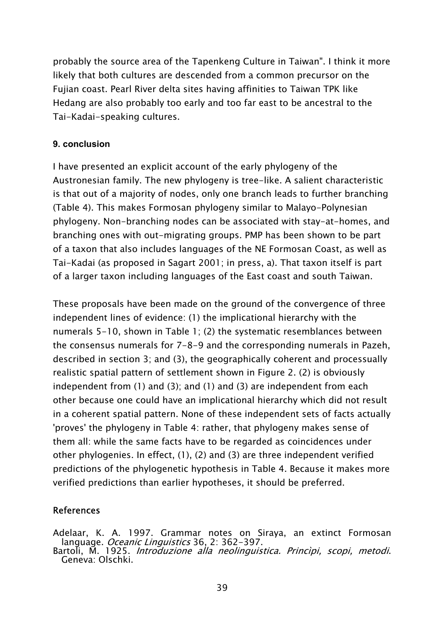probably the source area of the Tapenkeng Culture in Taiwan". I think it more likely that both cultures are descended from a common precursor on the Fujian coast. Pearl River delta sites having affinities to Taiwan TPK like Hedang are also probably too early and too far east to be ancestral to the Tai-Kadai-speaking cultures.

### **9. conclusion**

I have presented an explicit account of the early phylogeny of the Austronesian family. The new phylogeny is tree-like. A salient characteristic is that out of a majority of nodes, only one branch leads to further branching (Table 4). This makes Formosan phylogeny similar to Malayo-Polynesian phylogeny. Non-branching nodes can be associated with stay-at-homes, and branching ones with out-migrating groups. PMP has been shown to be part of a taxon that also includes languages of the NE Formosan Coast, as well as Tai-Kadai (as proposed in Sagart 2001; in press, a). That taxon itself is part of a larger taxon including languages of the East coast and south Taiwan.

These proposals have been made on the ground of the convergence of three independent lines of evidence: (1) the implicational hierarchy with the numerals 5-10, shown in Table 1; (2) the systematic resemblances between the consensus numerals for 7-8-9 and the corresponding numerals in Pazeh, described in section 3; and (3), the geographically coherent and processually realistic spatial pattern of settlement shown in Figure 2. (2) is obviously independent from (1) and (3); and (1) and (3) are independent from each other because one could have an implicational hierarchy which did not result in a coherent spatial pattern. None of these independent sets of facts actually 'proves' the phylogeny in Table 4: rather, that phylogeny makes sense of them all: while the same facts have to be regarded as coincidences under other phylogenies. In effect, (1), (2) and (3) are three independent verified predictions of the phylogenetic hypothesis in Table 4. Because it makes more verified predictions than earlier hypotheses, it should be preferred.

## References

Adelaar, K. A. 1997. Grammar notes on Siraya, an extinct Formosan language. Oceanic Linguistics 36, 2: 362-397.

Bartoli, M. 1925. *Introduzione alla neolinguistica. Princìpi, scopi, metodi*.<br>Geneva: Olschki.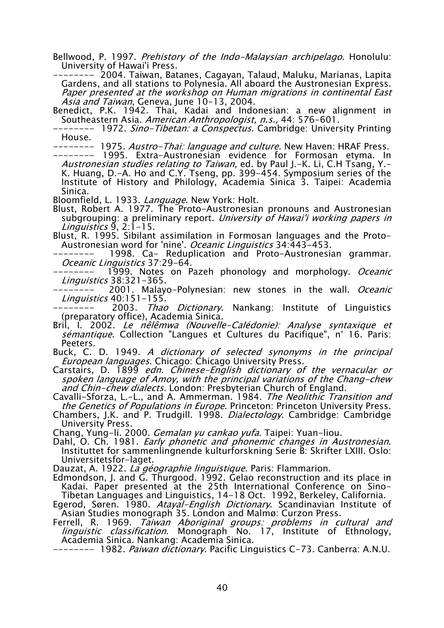Bellwood, P. 1997. Prehistory of the Indo-Malaysian archipelago. Honolulu: University of Hawai'i Press.

-------- 2004. Taiwan, Batanes, Cagayan, Talaud, Maluku, Marianas, Lapita Gardens, and all stations to Polynesia. All aboard the Austronesian Express. Paper presented at the workshop on Human migrations in continental East Asia and Taiwan, Geneva, June 10-13, 2004.

Benedict, P.K. 1942. Thai, Kadai and Indonesian: a new alignment in Southeastern Asia. American Anthropologist, n.s., 44: 576-601.

-------- 1972. Sino-Tibetan: a Conspectus. Cambridge: University Printing House.

-------- 1975. *Austro-Thai: language and culture*. New Haven: HRAF Press.

-------- 1995. Extra-Austronesian evidence for Formosan etyma. In Austronesian studies relating to Taiwan, ed. by Paul J.-K. Li, C.H Tsang, Y.-K. Huang, D.-A. Ho and C.Y. Tseng, pp. 399-454. Symposium series of the Institute of History and Philology, Academia Sinica 3. Taipei: Academia Sinica.

Bloomfield, L. 1933. Language. New York: Holt.

Blust, Robert A. 1977. The Proto-Austronesian pronouns and Austronesian subgrouping: a preliminary report. University of Hawai'i working papers in Linguistics 9, 2:1-15.

Blust, R. 1995. Sibilant assimilation in Formosan languages and the Proto-Austronesian word for 'nine'. *Oceanic Linguistics* 34:443-453.

1998. Ca- Reduplication and Proto-Austronesian grammar. Oceanic Linguistics 37:29-64.

1999. Notes on Pazeh phonology and morphology. Oceanic *Linguistics* 38:321-365.<br>2001 Malay

2001. Malayo-Polynesian: new stones in the wall. Oceanic *Linguistics* 40:151–155.<br>2003 *Thao* –

2003. *Thao Dictionary*. Nankang: Institute of Linguistics (preparatory office), Academia Sinica.

Bril, I. 2002. Le nêlêmwa (Nouvelle-Calédonie): Analyse syntaxique et sémantique. Collection "Langues et Cultures du Pacifique", n° 16. Paris: Peeters.

Buck, C. D. 1949. A dictionary of selected synonyms in the principal European languages. Chicago: Chicago University Press.

Carstairs, D. 1899 edn. Chinese-English dictionary of the vernacular or spoken language of Amoy, with the principal variations of the Chang-chew and Chin-chew dialects. London: Presbyterian Church of England.

Cavalli-Sforza, L.-L., and A. Ammerman. 1984. The Neolithic Transition and the Genetics of Populations in Europe. Princeton: Princeton University Press.

Chambers, J.K. and P. Trudgill. 1998. Dialectology. Cambridge: Cambridge University Press.

Chang, Yung-li. 2000. Gemalan yu cankao yufa. Taipei: Yuan-liou.

Dahl, O. Ch. 1981. Early phonetic and phonemic changes in Austronesian. Instituttet for sammenlingnende kulturforskning Serie B: Skrifter LXIII. Oslo: Universitetsfor-laget.

Dauzat, A. 1922. La géographie linguistique. Paris: Flammarion.

Edmondson, J. and G. Thurgood. 1992. Gelao reconstruction and its place in Kadai. Paper presented at the 25th International Conference on Sino-Tibetan Languages and Linguistics, 14-18 Oct. 1992, Berkeley, California.

Egerod, Søren. 1980. Atayal-English Dictionary. Scandinavian Institute of Asian Studies monograph 35. London and Malmø: Curzon Press.

Ferrell, R. 1969. Taiwan Aboriginal groups: problems in cultural and *linguistic classification*. Monograph No. 17, Institute of Ethnology, Academia Sinica. Nankang: Academia Sinica.

-------- 1982. Paiwan dictionary. Pacific Linguistics C-73. Canberra: A.N.U.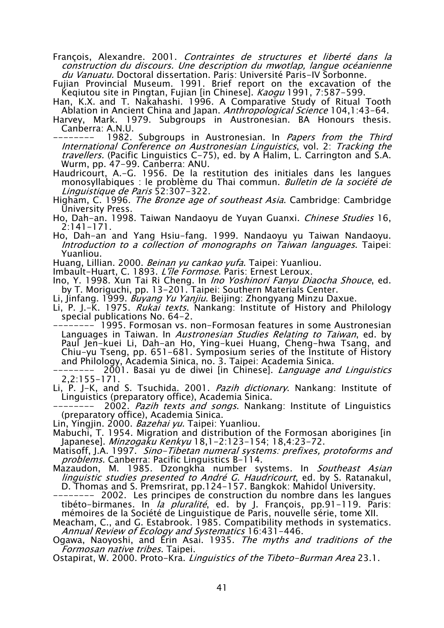- François, Alexandre. 2001. Contraintes de structures et liberté dans la construction du discours. Une description du mwotlap, langue océanienne *du Vanuatu.* Doctoral dissertation. Paris: Université Paris–IV Sorbonne. J
- Fujian Provincial Museum. 1991. Brief report on the excavation of the Keqiutou site in Pingtan, Fujian [in Chinese]. *Kaogu* 1991, 7:587-599.
- Han, K.X. and T. Nakahashi. 1996. A Comparative Study of Ritual Tooth Ablation in Ancient China and Japan. *Anthropological Science* 104,1:43–64.

Harvey, Mark. 1979. Subgroups in Austronesian. BA Honours thesis. Canberra: A.N.U.

1982. Subgroups in Austronesian. In Papers from the Third International Conference on Austronesian Linguistics, vol. 2: Tracking the travellers. (Pacific Linguistics C-75), ed. by A Halim, L. Carrington and S.A. Wurm, pp. 47-99. Canberra: ANU.

Haudricourt, A.-G. 1956. De la restitution des initiales dans les langues monosyllabiques : le problème du Thai commun. Bulletin de la société de Linguistique de Paris 52:307-322.

- Higham, C. 1996. *The Bronze age of southeast Asia*. Cambridge: Cambridge University Press.
- Ho, Dah-an. 1998. Taiwan Nandaoyu de Yuyan Guanxi. Chinese Studies 16, 2:141-171.
- Ho, Dah-an and Yang Hsiu-fang. 1999. Nandaoyu yu Taiwan Nandaoyu. Introduction to a collection of monographs on Taiwan languages. Taipei: Yuanliou.
- Huang, Lillian. 2000. *Beinan yu cankao yufa*. Taipei: Yuanliou.

Imbault-Huart, C. 1893. L'île Formose. Paris: Ernest Leroux.

Ino, Y. 1998. Xun Tai Ri Cheng. In Ino Yoshinori Fanyu Diaocha Shouce, ed. by T. Moriguchi, pp. 13-201. Taipei: Southern Materials Center.

Li, Jinfang. 1999. Buyang Yu Yanjiu. Beijing: Zhongyang Minzu Daxue.

Li, P. J.–K. 1975. *Rukai texts*. Nankang: Institute of History and Philology special publications No. 64-2.

-------- 1995. Formosan vs. non-Formosan features in some Austronesian Languages in Taiwan. In Austronesian Studies Relating to Taiwan, ed. by Paul Jen-kuei Li, Dah-an Ho, Ying-kuei Huang, Cheng-hwa Tsang, and Chiu-yu Tseng, pp. 651-681. Symposium series of the Institute of History and Philology, Academia Sinica, no. 3. Taipei: Academia Sinica.

2001. Basai yu de diwei [in Chinese]. *Language and Linguistics* 2,2:155-171.

Li, P. J-K, and S. Tsuchida. 2001. Pazih dictionary. Nankang: Institute of Linguistics (preparatory office), Academia Sinica.

2002. Pazih texts and songs. Nankang: Institute of Linguistics (preparatory office), Academia Sinica.

Lin, Yingjin. 2000. *Bazehai yu*. Taipei: Yuanliou.

Mabuchi, T. 1954. Migration and distribution of the Formosan aborigines [in Japanese]. Minzogaku Kenkyu 18,1-2:123-154; 18,4:23-72.

Matisoff, J.A. 1997. Sino-Tibetan numeral systems: prefixes, protoforms and problems. Canberra: Pacific Linguistics B-114.

Mazaudon, M. 1985. Dzongkha number systems. In *Southeast Asian linguistic studies presented to André G. Haudricourt*, ed. by S. Ratanakul, D. Thomas and S. Premsrirat, pp.124-157. Bangkok: Mahidol University.

-------- 2002. Les principes de construction du nombre dans les langues tibéto-birmanes. In *la pluralité*, ed. by J. François, pp.91-119. Paris: mémoires de la Société de Linguistique de Paris, nouvelle série, tome XII.

Meacham, C., and G. Estabrook. 1985. Compatibility methods in systematics. Annual Review of Ecology and Systematics 16:431-446.

Ogawa, Naoyoshi, and Erin Asai. 1935. The myths and traditions of the Formosan native tribes. Taipei.

Ostapirat, W. 2000. Proto-Kra. *Linguistics of the Tibeto-Burman Area* 23.1.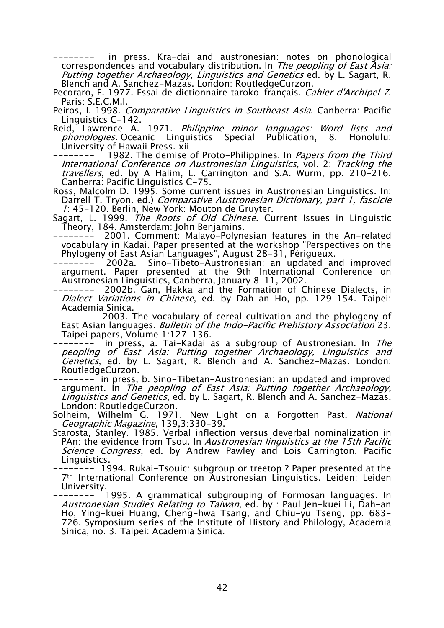in press. Kra-dai and austronesian: notes on phonological correspondences and vocabulary distribution. In The peopling of East Asia: Putting together Archaeology, Linguistics and Genetics ed. by L. Sagart, R. Blench and A. Sanchez-Mazas. London: RoutledgeCurzon.

Pecoraro, F. 1977. Essai de dictionnaire taroko-français. *Cahier d'Archipel 7*.<br>Paris: S.E.C.M.I.

Peiros, I. 1998. *Comparative Linguistics in Southeast Asia*. Canberra: Pacific Linguistics C-142.

- Reid, Lawrence A. 1971. *Philippine minor languages: Word lists and* phonologies. Oceanic Linguistics Special Publication, 8. Honolulu: University of Hawaii Press. xii
- 1982. The demise of Proto-Philippines. In Papers from the Third International Conference on Austronesian Linguistics, vol. 2: Tracking the travellers, ed. by A Halim, L. Carrington and S.A. Wurm, pp. 210-216. Canberra: Pacific Linguistics C-75.
- Ross, Malcolm D. 1995. Some current issues in Austronesian Linguistics. In: Darrell T. Tryon. ed.) Comparative Austronesian Dictionary, part 1, fascicle 1: 45-120. Berlin, New York: Mouton de Gruyter.
- Sagart, L. 1999. *The Roots of Old Chinese*. Current Issues in Linguistic Theory, 184. Amsterdam: John Benjamins.
- -------- 2001. Comment: Malayo-Polynesian features in the An-related vocabulary in Kadai. Paper presented at the workshop "Perspectives on the Phylogeny of East Asian Languages", August 28-31, Périgueux.
- Sino-Tibeto-Austronesian: an updated and improved argument. Paper presented at the 9th International Conference on Austronesian Linguistics, Canberra, January 8-11, 2002.
- 2002b. Gan, Hakka and the Formation of Chinese Dialects, in Dialect Variations in Chinese, ed. by Dah-an Ho, pp. 129–154. Taipei: Academia Sinica.

-------- 2003. The vocabulary of cereal cultivation and the phylogeny of East Asian languages. Bulletin of the Indo-Pacific Prehistory Association 23. Taipei papers, Volume 1:127-136.

in press, a. Tai-Kadai as a subgroup of Austronesian. In The peopling of East Asia: Putting together Archaeology, Linguistics and Genetics, ed. by L. Sagart, R. Blench and A. Sanchez-Mazas. London: RoutledgeCurzon.

- -------- in press, b. Sino-Tibetan-Austronesian: an updated and improved argument. In The peopling of East Asia: Putting together Archaeology, *Linguistics and Genetics*, ed. by L. Sagart, R. Blench and A. Sanchez–Mazas. London: RoutledgeCurzon.
- Solheim, Wilhelm G. 1971. New Light on a Forgotten Past. National Geographic Magazine, 139,3:330-39.
- Starosta, Stanley. 1985. Verbal inflection versus deverbal nominalization in PAn: the evidence from Tsou. In Austronesian linguistics at the 15th Pacific Science Congress, ed. by Andrew Pawley and Lois Carrington. Pacific Linguistics.
- -------- 1994. Rukai-Tsouic: subgroup or treetop ? Paper presented at the 7th International Conference on Austronesian Linguistics. Leiden: Leiden University.
- 1995. A grammatical subgrouping of Formosan languages. In *Austronesian Studies Relating to Taiwan*, ed. by : Paul Jen-kuei Li, Dah-an Ho, Ying-kuei Huang, Cheng-hwa Tsang, and Chiu-yu Tseng, pp. 683- 726. Symposium series of the Institute of History and Philology, Academia Sinica, no. 3. Taipei: Academia Sinica.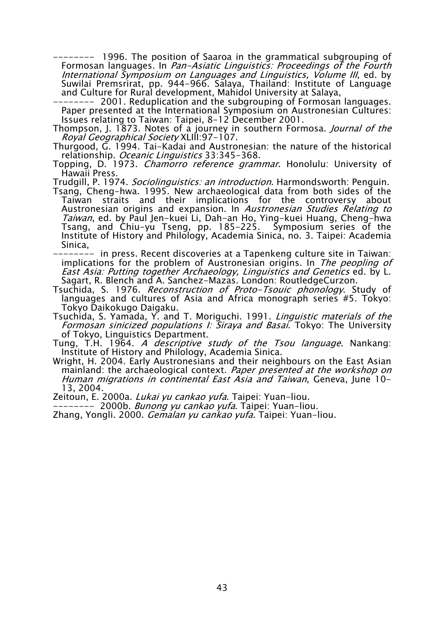-------- 1996. The position of Saaroa in the grammatical subgrouping of Formosan languages. In Pan-Asiatic Linguistics: Proceedings of the Fourth International Symposium on Languages and Linguistics, Volume III, ed. by Suwilai Premsrirat, pp. 944-966. Salaya, Thailand: Institute of Language and Culture for Rural development, Mahidol University at Salaya,

-------- 2001. Reduplication and the subgrouping of Formosan languages. Paper presented at the International Symposium on Austronesian Cultures: Issues relating to Taiwan: Taipei, 8-12 December 2001.

- Thompson, J. 1873. Notes of a journey in southern Formosa. *Journal of the* Royal Geographical Society XLIII:97-107.
- Thurgood, G. 1994. Tai-Kadai and Austronesian: the nature of the historical relationship. Oceanic Linguistics 33:345-368.
- Topping, D. 1973. Chamorro reference grammar. Honolulu: University of Hawaii Press.

Trudgill, P. 1974. Sociolinguistics: an introduction. Harmondsworth: Penguin.

Tsang, Cheng-hwa. 1995. New archaeological data from both sides of the Taiwan straits and their implications for the controversy about Austronesian origins and expansion. In Austronesian Studies Relating to Taiwan, ed. by Paul Jen-kuei Li, Dah-an Ho, Ying-kuei Huang, Cheng-hwa Tsang, and Chiu-yu Tseng, pp. 185-225. Symposium series of the Institute of History and Philology, Academia Sinica, no. 3. Taipei: Academia Sinica,

-------- in press. Recent discoveries at a Tapenkeng culture site in Taiwan: implications for the problem of Austronesian origins. In The peopling of East Asia: Putting together Archaeology, Linguistics and Genetics ed. by L. Sagart, R. Blench and A. Sanchez-Mazas. London: RoutledgeCurzon.

Tsuchida, S. 1976. Reconstruction of Proto-Tsouic phonology. Study of languages and cultures of Asia and Africa monograph series #5. Tokyo: Tokyo Daikokugo Daigaku.

Tsuchida, S. Yamada, Y. and T. Moriguchi. 1991. *Linguistic materials of the* Formosan sinicized populations I: Siraya and Basai. Tokyo: The University of Tokyo, Linguistics Department.

Tung, T.H. 1964. A *descriptive study of the Tsou language*. Nankang: Institute of History and Philology, Academia Sinica.

Wright, H. 2004. Early Austronesians and their neighbours on the East Asian mainland: the archaeological context. Paper presented at the workshop on Human migrations in continental East Asia and Taiwan, Geneva, June 10- 13, 2004.

Zeitoun, E. 2000a. Lukai yu cankao yufa. Taipei: Yuan-liou.

-------- 2000b. *Bunong yu cankao yufa*. Taipei: Yuan-liou.

Zhang, Yongli. 2000. Gemalan yu cankao yufa. Taipei: Yuan-liou.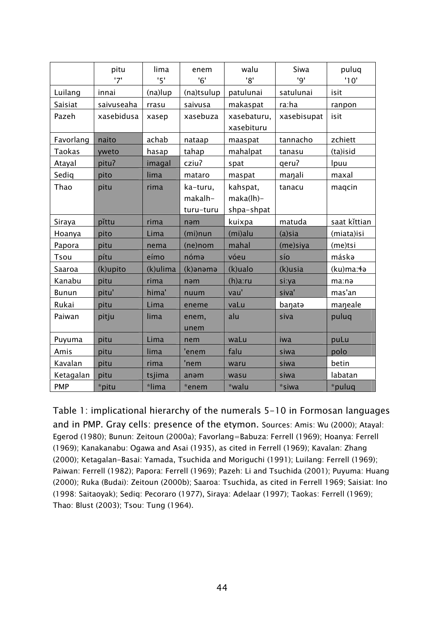|               | pitu       | lima     | enem          | walu                      | Siwa        | puluq        |
|---------------|------------|----------|---------------|---------------------------|-------------|--------------|
|               | '7'        | '5'      | '6'           | '8'                       | '9'         | '10'         |
| Luilang       | innai      | (na)lup  | (na)tsulup    | patulunai                 | satulunai   | isit         |
| Saisiat       | saivuseaha | rrasu    | saivusa       | makaspat                  | ra:ha       | ranpon       |
| Pazeh         | xasebidusa | xasep    | xasebuza      | xasebaturu,<br>xasebituru | xasebisupat | isit         |
| Favorlang     | naito      | achab    | nataap        | maaspat                   | tannacho    | zchiett      |
| <b>Taokas</b> | yweto      | hasap    | tahap         | mahalpat                  | tanasu      | (ta)isid     |
| Atayal        | pitu?      | imagal   | cziu?         | spat                      | qeru?       | Ipuu         |
| Sediq         | pito       | lima     | mataro        | maspat                    | manali      | maxal        |
| Thao          | pitu       | rima     | ka-turu,      | kahspat,                  | tanacu      | maqcin       |
|               |            |          | makalh-       | $maka(lh)$ -              |             |              |
|               |            |          | turu-turu     | shpa-shpat                |             |              |
| Siraya        | pĭttu      | rima     | nəm           | kuixpa                    | matuda      | saat kittian |
| Hoanya        | pito       | Lima     | (mi)nun       | (mi)alu                   | $(a)$ sia   | (miata)isi   |
| Papora        | pitu       | nema     | (ne)nom       | mahal                     | (me)siya    | (me)tsi      |
| Tsou          | pítu       | eímo     | nómə          | vóeu                      | sío         | máskə        |
| Saaroa        | (k)upito   | (k)ulima | (k)anama      | (k)ualo                   | (k)usia     | (ku)ma:4a    |
| Kanabu        | pitu       | rima     | nəm           | $(h)a$ :ru                | si:ya       | ma:nə        |
| <b>Bunun</b>  | pitu'      | hima'    | nuum          | vau'                      | siva'       | mas'an       |
| Rukai         | pitu       | Lima     | eneme         | vaLu                      | banata      | maneale      |
| Paiwan        | pitju      | lima     | enem,<br>unem | alu                       | siva        | puluq        |
| Puyuma        | pitu       | Lima     | nem           | waLu                      | iwa         | puLu         |
| Amis          | pitu       | lima     | 'enem         | falu                      | siwa        | polo         |
| Kavalan       | pitu       | rima     | 'nem          | waru                      | siwa        | betin        |
| Ketagalan     | pitu       | tsjima   | anəm          | wasu                      | siwa        | labatan      |
| <b>PMP</b>    | *pitu      | *lima    | *enem         | *walu                     | *siwa       | *puluq       |

Table 1: implicational hierarchy of the numerals 5-10 in Formosan languages and in PMP. Gray cells: presence of the etymon. Sources: Amis: Wu (2000); Atayal: Egerod (1980); Bunun: Zeitoun (2000a); Favorlang=Babuza: Ferrell (1969); Hoanya: Ferrell (1969); Kanakanabu: Ogawa and Asai (1935), as cited in Ferrell (1969); Kavalan: Zhang (2000); Ketagalan-Basai: Yamada, Tsuchida and Moriguchi (1991); Luilang: Ferrell (1969); Paiwan: Ferrell (1982); Papora: Ferrell (1969); Pazeh: Li and Tsuchida (2001); Puyuma: Huang (2000); Ruka (Budai): Zeitoun (2000b); Saaroa: Tsuchida, as cited in Ferrell 1969; Saisiat: Ino (1998: Saitaoyak); Sediq: Pecoraro (1977), Siraya: Adelaar (1997); Taokas: Ferrell (1969); Thao: Blust (2003); Tsou: Tung (1964).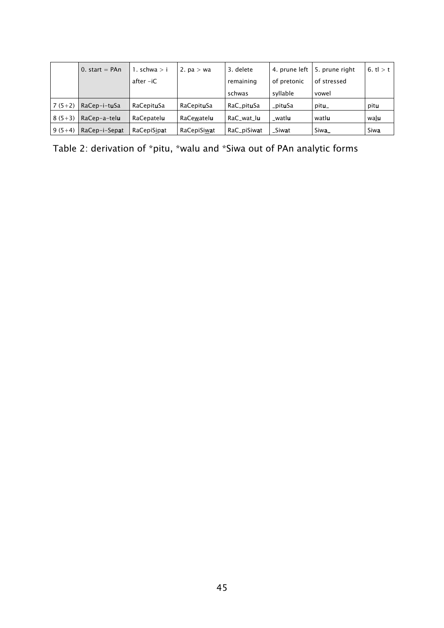|          | 0. start = $PAn$ | 1. schwa $> i$      | 2. $pa > wa$         | 3. delete           |                  | 4. prune left   5. prune right | 6. t $l > t$ |
|----------|------------------|---------------------|----------------------|---------------------|------------------|--------------------------------|--------------|
|          |                  | after -iC           |                      | remaining           | of pretonic      | of stressed                    |              |
|          |                  |                     |                      | schwas              | syllable         | vowel                          |              |
| $7(5+2)$ | RaCep-i-tuSa     | RaCepit <b>u</b> Sa | RaCepit <b>u</b> Sa  | RaC_pit <b>u</b> Sa | _pit <b>u</b> Sa | pit <b>u</b> _                 | pitu         |
| $8(5+3)$ | RaCep-a-telu     | RaCepatel <b>u</b>  | RaCewatelu           | RaC_wat_lu          | _watl <b>u</b>   | watlu                          | walu         |
| $9(5+4)$ | RaCep-i-Sepat    | RaCepiSipat         | RaCepiSiw <b>a</b> t | RaC_piSiwat         | _Siw <b>a</b> t  | Siwa_                          | Siwa         |

Table 2: derivation of \*pitu, \*walu and \*Siwa out of PAn analytic forms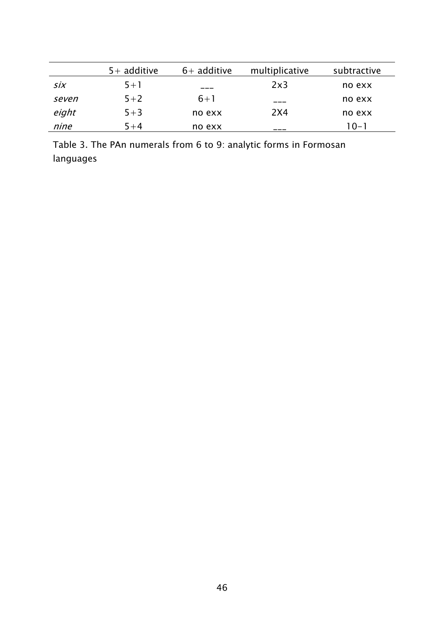|       | $5+$ additive | $6+$ additive | multiplicative | subtractive |
|-------|---------------|---------------|----------------|-------------|
| six   | $5 + 1$       | ---           | 2x3            | no exx      |
| seven | $5 + 2$       | $6 + 1$       | ___            | no exx      |
| eight | $5 + 3$       | no exx        | 2X4            | no exx      |
| nine  | $5 + 4$       | no exx        |                | 10-1        |

Table 3. The PAn numerals from 6 to 9: analytic forms in Formosan languages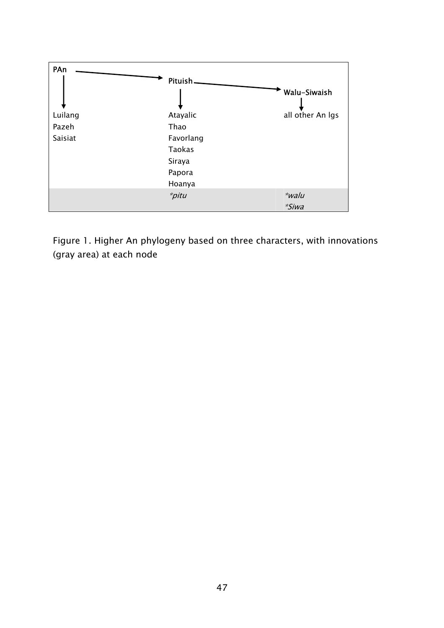

Figure 1. Higher An phylogeny based on three characters, with innovations (gray area) at each node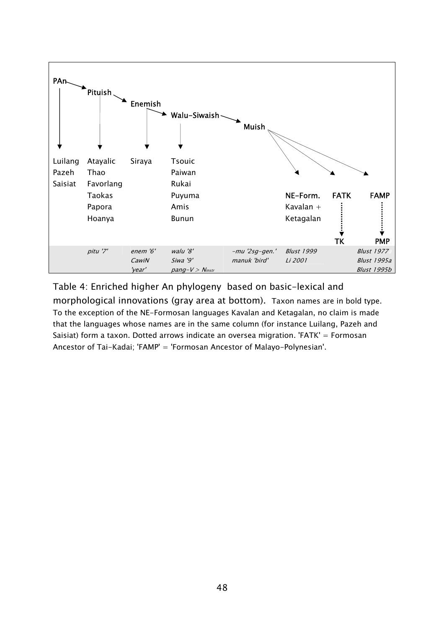

Table 4: Enriched higher An phylogeny based on basic-lexical and morphological innovations (gray area at bottom). Taxon names are in bold type. To the exception of the NE-Formosan languages Kavalan and Ketagalan, no claim is made that the languages whose names are in the same column (for instance Luilang, Pazeh and Saisiat) form a taxon. Dotted arrows indicate an oversea migration. 'FATK' = Formosan Ancestor of Tai-Kadai; 'FAMP' = 'Formosan Ancestor of Malayo-Polynesian'.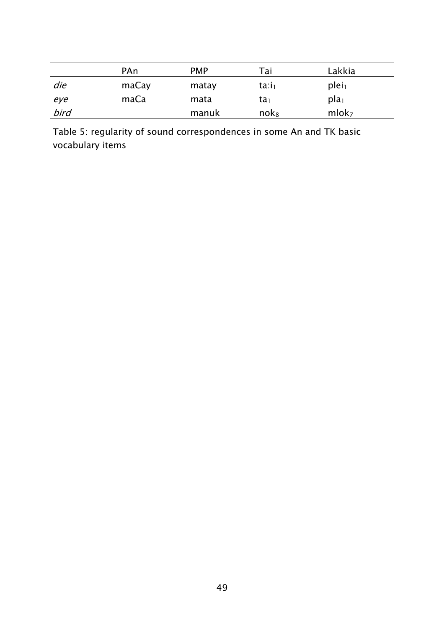|      | PAn   | <b>PMP</b> | Tai                        | Lakkia            |
|------|-------|------------|----------------------------|-------------------|
| die  | maCay | matay      | $\text{ta}$ : $\text{i}_1$ | plei <sub>1</sub> |
| eye  | maCa  | mata       | ta <sub>1</sub>            | pla <sub>1</sub>  |
| bird |       | manuk      | $n$ ok $_8$                | mlok <sub>7</sub> |

Table 5: regularity of sound correspondences in some An and TK basic vocabulary items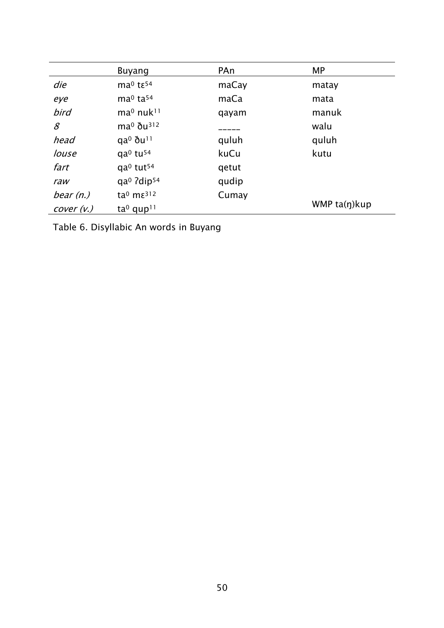|             | Buyang                                         | PAn   | <b>MP</b>         |
|-------------|------------------------------------------------|-------|-------------------|
| die         | $ma0$ tε <sup>54</sup>                         | maCay | matay             |
| eye         | ma <sup>0</sup> ta <sup>54</sup>               | maCa  | mata              |
| bird        | ma <sup>0</sup> nuk <sup>11</sup>              | qayam | manuk             |
| 8           | $ma^0$ $\delta u^{312}$                        |       | walu              |
| head        | $qa^0$ $\delta u^{11}$                         | quluh | quluh             |
| louse       | $qa^0$ tu <sup>54</sup>                        | kuCu  | kutu              |
| fart        | qa <sup>0</sup> tut <sup>54</sup>              | qetut |                   |
| raw         | qa <sup>0</sup> ?dip <sup>54</sup>             | qudip |                   |
| bear $(n.)$ | ta <sup>0</sup> m $\varepsilon$ <sup>312</sup> | Cumay |                   |
| cover (v.)  | ta <sup>0</sup> qup <sup>11</sup>              |       | WMP $ta(\eta)kup$ |

Table 6. Disyllabic An words in Buyang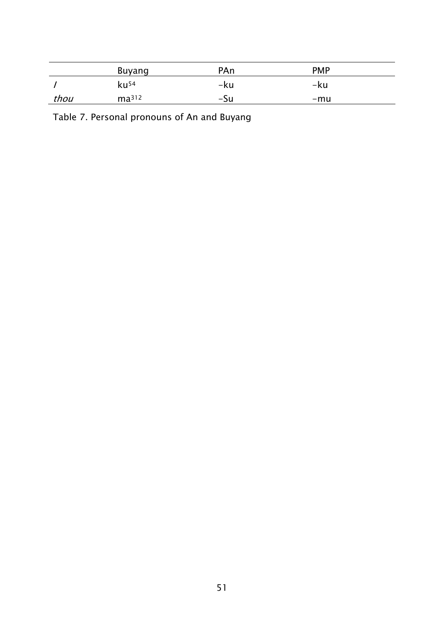|      | Buyang            | PAn | <b>PMP</b> |  |
|------|-------------------|-----|------------|--|
|      | ku <sup>54</sup>  | -ku | -ku        |  |
| thou | ma <sup>312</sup> | -Su | -mu        |  |

Table 7. Personal pronouns of An and Buyang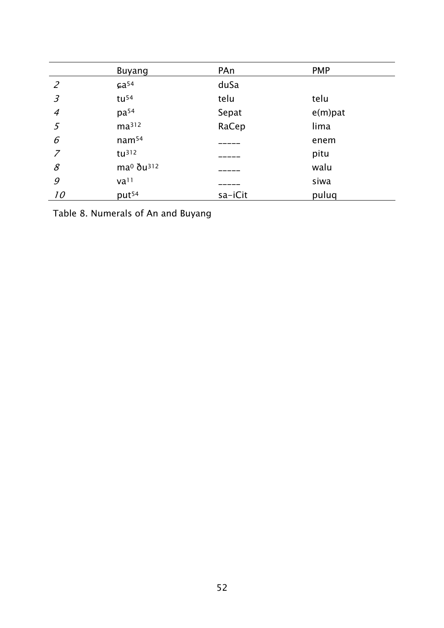|                | <b>Buyang</b>                     | PAn     | <b>PMP</b> |
|----------------|-----------------------------------|---------|------------|
| $\overline{2}$ | $6a^{54}$                         | duSa    |            |
| $\mathfrak{Z}$ | tu <sup>54</sup>                  | telu    | telu       |
| $\overline{4}$ | $pa^{54}$                         | Sepat   | $e(m)$ pat |
| 5              | ma <sup>312</sup>                 | RaCep   | lima       |
| 6              | nam <sup>54</sup>                 |         | enem       |
| $\overline{z}$ | $tu^{312}$                        |         | pitu       |
| $\mathcal S$   | ma <sup>0</sup> ðu <sup>312</sup> |         | walu       |
| 9              | $\mathsf{val}^1$                  |         | siwa       |
| 10             | put <sup>54</sup>                 | sa-iCit | puluq      |

Table 8. Numerals of An and Buyang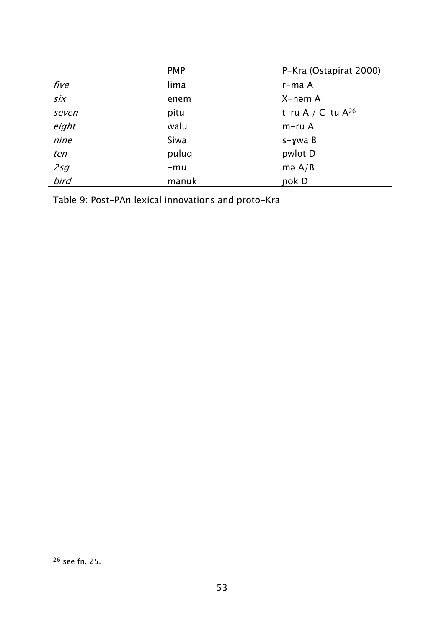|       | <b>PMP</b> | P-Kra (Ostapirat 2000) |
|-------|------------|------------------------|
| five  | lima       | r-ma A                 |
| six   | enem       | X-nəm A                |
| seven | pitu       | t-ru A / C-tu $A^{26}$ |
| eight | walu       | $m$ -ru A              |
| nine  | Siwa       | $s - \gamma$ wa B      |
| ten   | puluq      | pwlot D                |
| 2sg   | $-mu$      | mə $A/B$               |
| bird  | manuk      | nok D                  |

Table 9: Post-PAn lexical innovations and proto-Kra

<sup>&</sup>lt;sup>26</sup> see fn. 25.